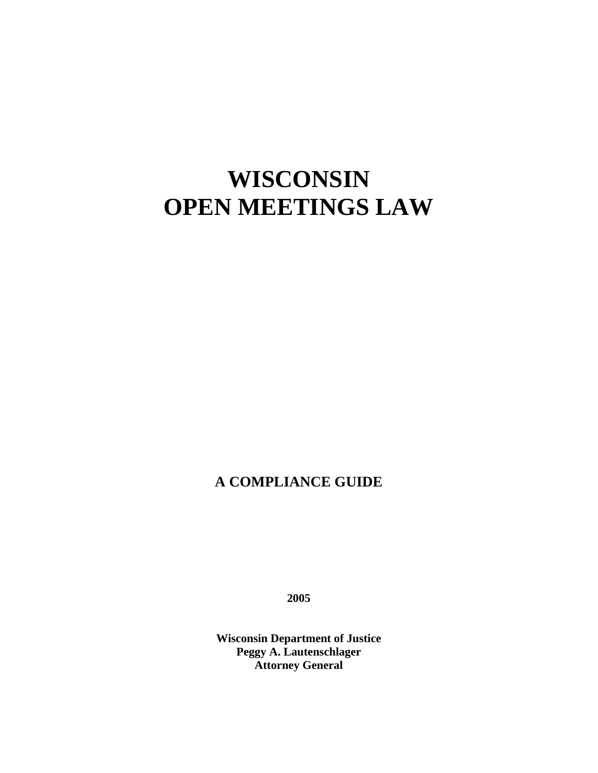# **WISCONSIN OPEN MEETINGS LAW**

# **A COMPLIANCE GUIDE**

**2005** 

**Wisconsin Department of Justice Peggy A. Lautenschlager Attorney General**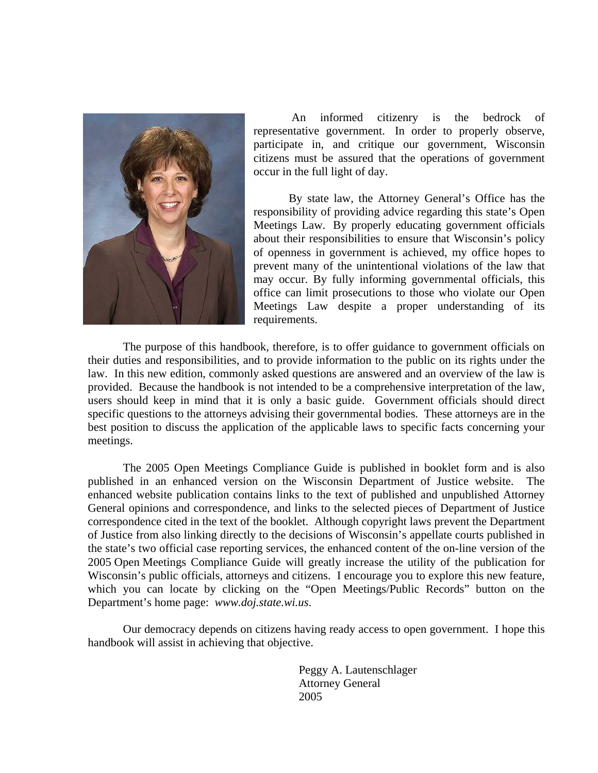

 An informed citizenry is the bedrock of representative government. In order to properly observe, participate in, and critique our government, Wisconsin citizens must be assured that the operations of government occur in the full light of day.

 By state law, the Attorney General's Office has the responsibility of providing advice regarding this state's Open Meetings Law. By properly educating government officials about their responsibilities to ensure that Wisconsin's policy of openness in government is achieved, my office hopes to prevent many of the unintentional violations of the law that may occur. By fully informing governmental officials, this office can limit prosecutions to those who violate our Open Meetings Law despite a proper understanding of its requirements.

 The purpose of this handbook, therefore, is to offer guidance to government officials on their duties and responsibilities, and to provide information to the public on its rights under the law. In this new edition, commonly asked questions are answered and an overview of the law is provided. Because the handbook is not intended to be a comprehensive interpretation of the law, users should keep in mind that it is only a basic guide. Government officials should direct specific questions to the attorneys advising their governmental bodies. These attorneys are in the best position to discuss the application of the applicable laws to specific facts concerning your meetings.

 The 2005 Open Meetings Compliance Guide is published in booklet form and is also published in an enhanced version on the Wisconsin Department of Justice website. The enhanced website publication contains links to the text of published and unpublished Attorney General opinions and correspondence, and links to the selected pieces of Department of Justice correspondence cited in the text of the booklet. Although copyright laws prevent the Department of Justice from also linking directly to the decisions of Wisconsin's appellate courts published in the state's two official case reporting services, the enhanced content of the on-line version of the 2005 Open Meetings Compliance Guide will greatly increase the utility of the publication for Wisconsin's public officials, attorneys and citizens. I encourage you to explore this new feature, which you can locate by clicking on the "Open Meetings/Public Records" button on the Department's home page: *www.doj.state.wi.us*.

 Our democracy depends on citizens having ready access to open government. I hope this handbook will assist in achieving that objective.

Peggy A. Lautenschlager Attorney General 2005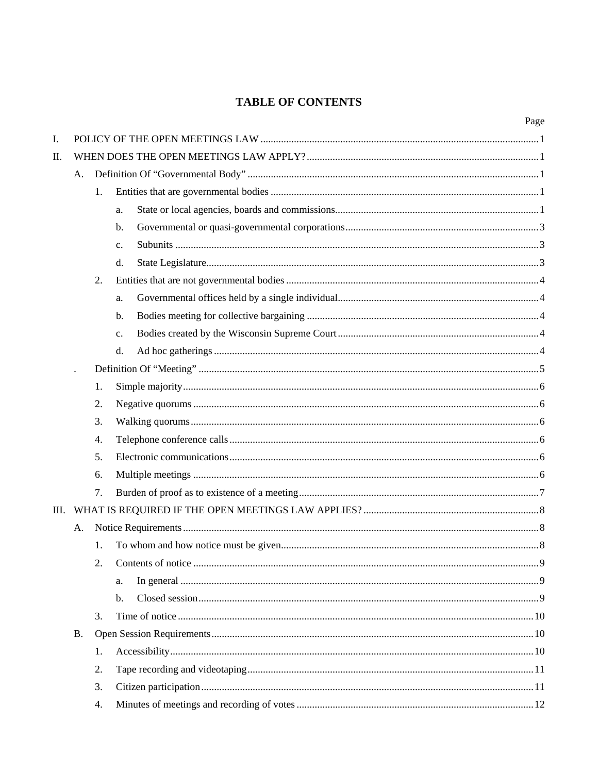# **TABLE OF CONTENTS**

|    |           |    |                | Page |  |
|----|-----------|----|----------------|------|--|
| I. |           |    |                |      |  |
| П. |           |    |                |      |  |
|    | A.        |    |                |      |  |
|    |           | 1. |                |      |  |
|    |           |    | a.             |      |  |
|    |           |    | b.             |      |  |
|    |           |    | c.             |      |  |
|    |           |    | d.             |      |  |
|    |           | 2. |                |      |  |
|    |           |    | a.             |      |  |
|    |           |    | b.             |      |  |
|    |           |    | c.             |      |  |
|    |           |    | d.             |      |  |
|    |           |    |                |      |  |
|    |           | 1. |                |      |  |
|    |           | 2. |                |      |  |
|    |           | 3. |                |      |  |
|    |           | 4. |                |      |  |
|    |           | 5. |                |      |  |
|    |           | 6. |                |      |  |
|    |           | 7. |                |      |  |
|    |           |    |                |      |  |
|    | Α.        |    |                |      |  |
|    |           | 1. |                |      |  |
|    |           | 2. |                |      |  |
|    |           |    | a.             |      |  |
|    |           |    | $\mathbf{b}$ . |      |  |
|    |           | 3. |                |      |  |
|    | <b>B.</b> |    |                |      |  |
|    |           | 1. |                |      |  |
|    |           | 2. |                |      |  |
|    |           | 3. |                |      |  |
|    |           | 4. |                |      |  |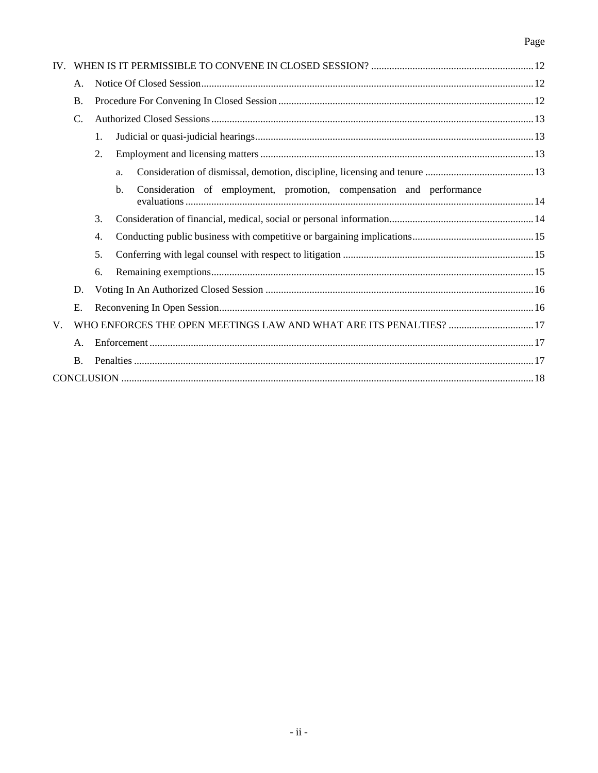# Page

|             | Α.                                                                 |    |                                                                            |  |
|-------------|--------------------------------------------------------------------|----|----------------------------------------------------------------------------|--|
|             | Β.                                                                 |    |                                                                            |  |
|             | $C$ .                                                              |    |                                                                            |  |
|             |                                                                    | 1. |                                                                            |  |
|             |                                                                    | 2. |                                                                            |  |
|             |                                                                    |    | a.                                                                         |  |
|             |                                                                    |    | Consideration of employment, promotion, compensation and performance<br>b. |  |
|             |                                                                    | 3. |                                                                            |  |
|             |                                                                    | 4. |                                                                            |  |
|             |                                                                    | 5. |                                                                            |  |
|             |                                                                    | 6. |                                                                            |  |
|             | D.                                                                 |    |                                                                            |  |
|             | Ε.                                                                 |    |                                                                            |  |
| $V_{\cdot}$ | WHO ENFORCES THE OPEN MEETINGS LAW AND WHAT ARE ITS PENALTIES?  17 |    |                                                                            |  |
|             | A.                                                                 |    |                                                                            |  |
|             | <b>B.</b>                                                          |    |                                                                            |  |
|             |                                                                    |    |                                                                            |  |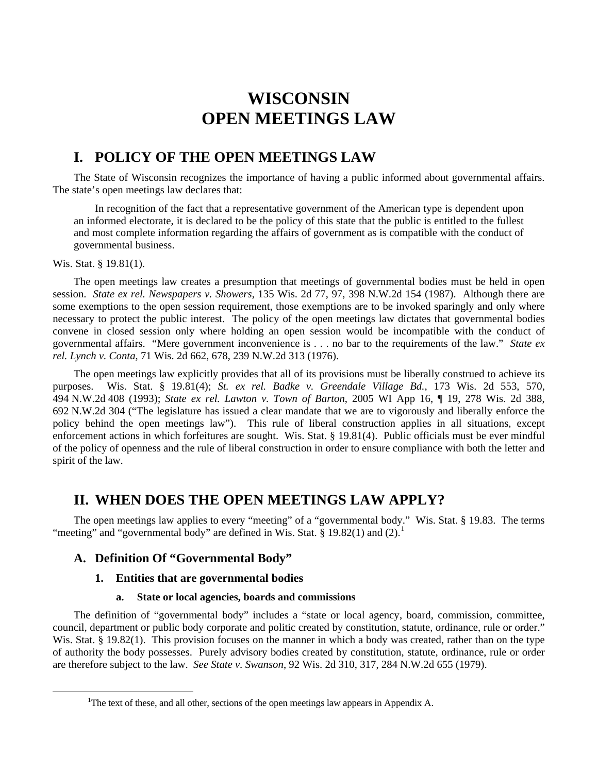# **WISCONSIN OPEN MEETINGS LAW**

# **I. POLICY OF THE OPEN MEETINGS LAW**

 The State of Wisconsin recognizes the importance of having a public informed about governmental affairs. The state's open meetings law declares that:

 In recognition of the fact that a representative government of the American type is dependent upon an informed electorate, it is declared to be the policy of this state that the public is entitled to the fullest and most complete information regarding the affairs of government as is compatible with the conduct of governmental business.

#### Wis. Stat. § 19.81(1).

 The open meetings law creates a presumption that meetings of governmental bodies must be held in open session. *State ex rel. Newspapers v. Showers*, 135 Wis. 2d 77, 97, 398 N.W.2d 154 (1987). Although there are some exemptions to the open session requirement, those exemptions are to be invoked sparingly and only where necessary to protect the public interest. The policy of the open meetings law dictates that governmental bodies convene in closed session only where holding an open session would be incompatible with the conduct of governmental affairs. "Mere government inconvenience is . . . no bar to the requirements of the law." *State ex rel. Lynch v. Conta*, 71 Wis. 2d 662, 678, 239 N.W.2d 313 (1976).

 The open meetings law explicitly provides that all of its provisions must be liberally construed to achieve its purposes. Wis. Stat. § 19.81(4); *St. ex rel. Badke v. Greendale Village Bd.*, 173 Wis. 2d 553, 570, 494 N.W.2d 408 (1993); *State ex rel. Lawton v. Town of Barton*, 2005 WI App 16, ¶ 19, 278 Wis. 2d 388, 692 N.W.2d 304 ("The legislature has issued a clear mandate that we are to vigorously and liberally enforce the policy behind the open meetings law"). This rule of liberal construction applies in all situations, except enforcement actions in which forfeitures are sought. Wis. Stat. § 19.81(4). Public officials must be ever mindful of the policy of openness and the rule of liberal construction in order to ensure compliance with both the letter and spirit of the law.

# **II. WHEN DOES THE OPEN MEETINGS LAW APPLY?**

 The open meetings law applies to every "meeting" of a "governmental body." Wis. Stat. § 19.83. The terms "meeting" and "governmental body" are defined in Wis. Stat. § [1](#page-4-0)9.82(1) and  $(2)$ .<sup>1</sup>

# **A. Definition Of "Governmental Body"**

# **1. Entities that are governmental bodies**

#### **a. State or local agencies, boards and commissions**

 The definition of "governmental body" includes a "state or local agency, board, commission, committee, council, department or public body corporate and politic created by constitution, statute, ordinance, rule or order." Wis. Stat. § 19.82(1). This provision focuses on the manner in which a body was created, rather than on the type of authority the body possesses. Purely advisory bodies created by constitution, statute, ordinance, rule or order are therefore subject to the law. *See State v. Swanson*, 92 Wis. 2d 310, 317, 284 N.W.2d 655 (1979).

<span id="page-4-0"></span><sup>&</sup>lt;sup>1</sup>The text of these, and all other, sections of the open meetings law appears in Appendix A.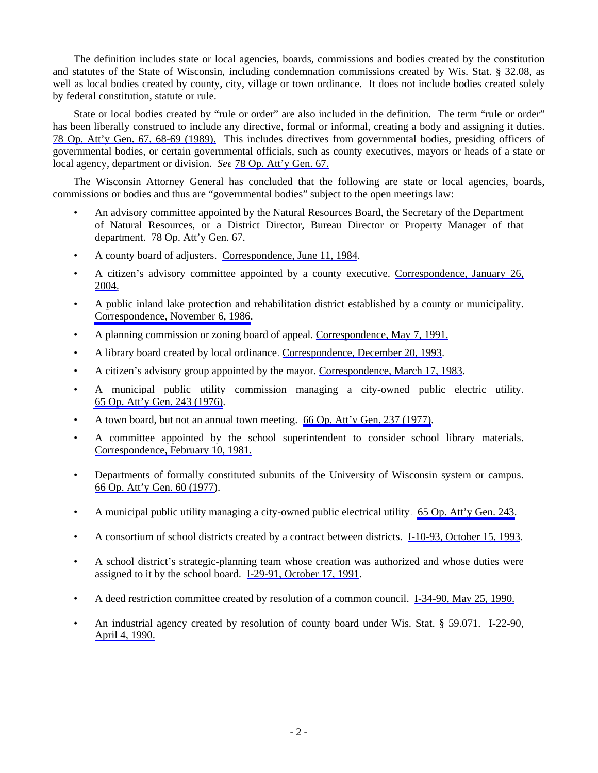The definition includes state or local agencies, boards, commissions and bodies created by the constitution and statutes of the State of Wisconsin, including condemnation commissions created by Wis. Stat. § 32.08, as well as local bodies created by county, city, village or town ordinance. It does not include bodies created solely by federal constitution, statute or rule.

 State or local bodies created by "rule or order" are also included in the definition. The term "rule or order" has been liberally construed to include any directive, formal or informal, creating a body and assigning it duties. 78 Op. Att'y Gen. 67, 68-69 (1989). This includes directives from governmental bodies, presiding officers of governmental bodies, or certain governmental officials, such as county executives, mayors or heads of a state or local agency, department or division. *See* 78 Op. Att'y Gen. 67.

 The Wisconsin Attorney General has concluded that the following are state or local agencies, boards, commissions or bodies and thus are "governmental bodies" subject to the open meetings law:

- An advisory committee appointed by the Natural Resources Board, the Secretary of the Department of Natural Resources, or a District Director, Bureau Director or Property Manager of that department. 78 Op. Att'y Gen. 67.
- A county board of adjusters. Correspondence, June 11, 1984.
- A citizen's advisory committee appointed by a county executive. Correspondence, January 26, 2004.
- A public inland lake protection and rehabilitation district established by a county or municipality. Correspondence, November 6, 1986.
- A planning commission or zoning board of appeal. Correspondence, May 7, 1991.
- A library board created by local ordinance. Correspondence, December 20, 1993.
- A citizen's advisory group appointed by the mayor. Correspondence, March 17, 1983.
- A municipal public utility commission managing a city-owned public electric utility. 65 Op. Att'y Gen. 243 (1976).
- A town board, but not an annual town meeting. 66 Op. Att'y Gen. 237 (1977).
- A committee appointed by the school superintendent to consider school library materials. Correspondence, February 10, 1981.
- Departments of formally constituted subunits of the University of Wisconsin system or campus. 66 Op. Att'y Gen. 60 (1977).
- A municipal public utility managing a city-owned public electrical utility. 65 Op. Att'y Gen. 243.
- A consortium of school districts created by a contract between districts. I-10-93, October 15, 1993.
- A school district's strategic-planning team whose creation was authorized and whose duties were assigned to it by the school board. I-29-91, October 17, 1991.
- A deed restriction committee created by resolution of a common council. I-34-90, May 25, 1990.
- An industrial agency created by resolution of county board under Wis. Stat. § 59.071. I-22-90, April 4, 1990.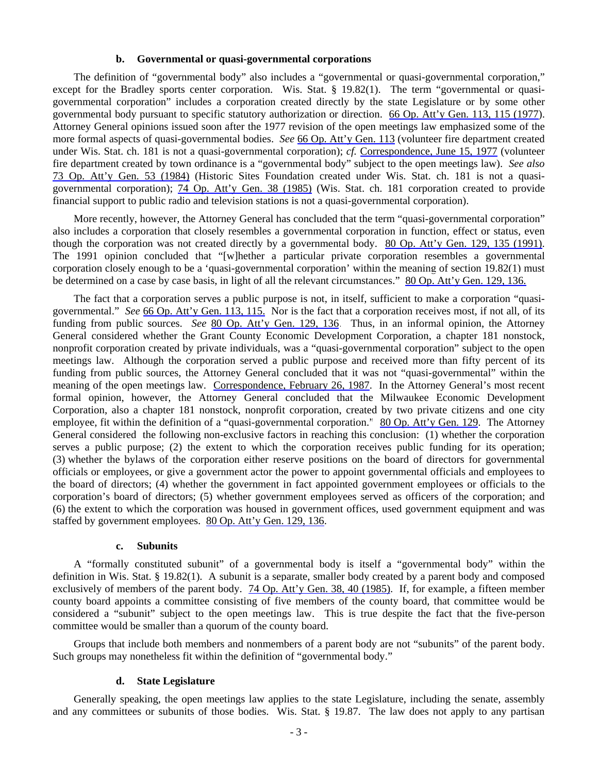#### **b. Governmental or quasi-governmental corporations**

 The definition of "governmental body" also includes a "governmental or quasi-governmental corporation," except for the Bradley sports center corporation. Wis. Stat.  $\S$  19.82(1). The term "governmental or quasigovernmental corporation" includes a corporation created directly by the state Legislature or by some other governmental body pursuant to specific statutory authorization or direction. 66 Op. Att'y Gen. 113, 115 (1977). Attorney General opinions issued soon after the 1977 revision of the open meetings law emphasized some of the more formal aspects of quasi-governmental bodies. *See* 66 Op. Att'y Gen. 113 (volunteer fire department created under Wis. Stat. ch. 181 is not a quasi-governmental corporation); *cf.* Correspondence, June 15, 1977 (volunteer fire department created by town ordinance is a "governmental body" subject to the open meetings law). *See also* 73 Op. Att'y Gen. 53 (1984) (Historic Sites Foundation created under Wis. Stat. ch. 181 is not a quasigovernmental corporation); 74 Op. Att'y Gen. 38 (1985) (Wis. Stat. ch. 181 corporation created to provide financial support to public radio and television stations is not a quasi-governmental corporation).

 More recently, however, the Attorney General has concluded that the term "quasi-governmental corporation" also includes a corporation that closely resembles a governmental corporation in function, effect or status, even though the corporation was not created directly by a governmental body. 80 Op. Att'y Gen. 129, 135 (1991). The 1991 opinion concluded that "[w]hether a particular private corporation resembles a governmental corporation closely enough to be a 'quasi-governmental corporation' within the meaning of section 19.82(1) must be determined on a case by case basis, in light of all the relevant circumstances." 80 Op. Att'y Gen. 129, 136.

 The fact that a corporation serves a public purpose is not, in itself, sufficient to make a corporation "quasigovernmental." *See* 66 Op. Att'y Gen. 113, 115. Nor is the fact that a corporation receives most, if not all, of its funding from public sources. *See* 80 Op. Att'y Gen. 129, 136. Thus, in an informal opinion, the Attorney General considered whether the Grant County Economic Development Corporation, a chapter 181 nonstock, nonprofit corporation created by private individuals, was a "quasi-governmental corporation" subject to the open meetings law. Although the corporation served a public purpose and received more than fifty percent of its funding from public sources, the Attorney General concluded that it was not "quasi-governmental" within the meaning of the open meetings law. Correspondence, February 26, 1987. In the Attorney General's most recent formal opinion, however, the Attorney General concluded that the Milwaukee Economic Development Corporation, also a chapter 181 nonstock, nonprofit corporation, created by two private citizens and one city employee, fit within the definition of a "quasi-governmental corporation." 80 Op. Att'y Gen. 129. The Attorney General considered the following non-exclusive factors in reaching this conclusion: (1) whether the corporation serves a public purpose; (2) the extent to which the corporation receives public funding for its operation; (3) whether the bylaws of the corporation either reserve positions on the board of directors for governmental officials or employees, or give a government actor the power to appoint governmental officials and employees to the board of directors; (4) whether the government in fact appointed government employees or officials to the corporation's board of directors; (5) whether government employees served as officers of the corporation; and (6) the extent to which the corporation was housed in government offices, used government equipment and was staffed by government employees. 80 Op. Att'y Gen. 129, 136.

#### **c. Subunits**

 A "formally constituted subunit" of a governmental body is itself a "governmental body" within the definition in Wis. Stat. § 19.82(1). A subunit is a separate, smaller body created by a parent body and composed exclusively of members of the parent body. 74 Op. Att'y Gen. 38, 40 (1985). If, for example, a fifteen member county board appoints a committee consisting of five members of the county board, that committee would be considered a "subunit" subject to the open meetings law. This is true despite the fact that the five-person committee would be smaller than a quorum of the county board.

 Groups that include both members and nonmembers of a parent body are not "subunits" of the parent body. Such groups may nonetheless fit within the definition of "governmental body."

#### **d. State Legislature**

 Generally speaking, the open meetings law applies to the state Legislature, including the senate, assembly and any committees or subunits of those bodies. Wis. Stat. § 19.87. The law does not apply to any partisan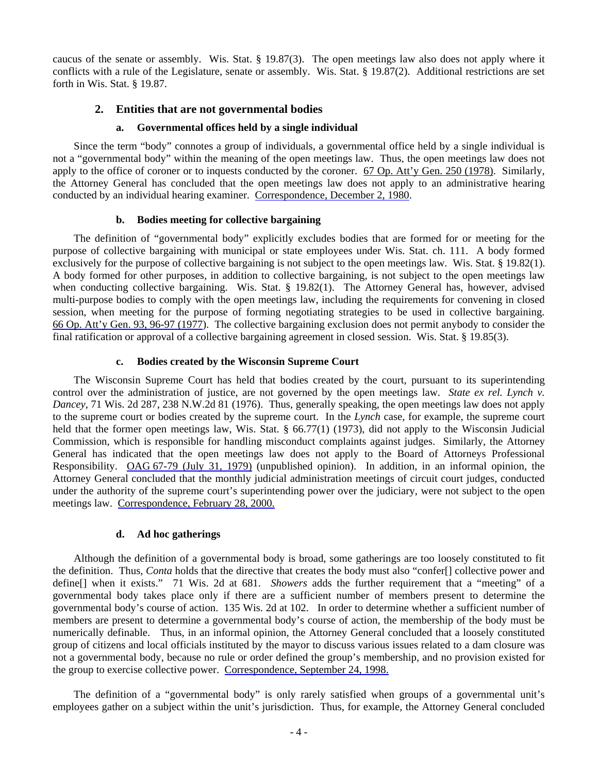caucus of the senate or assembly. Wis. Stat. § 19.87(3). The open meetings law also does not apply where it conflicts with a rule of the Legislature, senate or assembly. Wis. Stat. § 19.87(2). Additional restrictions are set forth in Wis. Stat. § 19.87.

# **2. Entities that are not governmental bodies**

# **a. Governmental offices held by a single individual**

 Since the term "body" connotes a group of individuals, a governmental office held by a single individual is not a "governmental body" within the meaning of the open meetings law. Thus, the open meetings law does not apply to the office of coroner or to inquests conducted by the coroner. 67 Op. Att'y Gen. 250 (1978). Similarly, the Attorney General has concluded that the open meetings law does not apply to an administrative hearing conducted by an individual hearing examiner. Correspondence, December 2, 1980.

# **b. Bodies meeting for collective bargaining**

 The definition of "governmental body" explicitly excludes bodies that are formed for or meeting for the purpose of collective bargaining with municipal or state employees under Wis. Stat. ch. 111. A body formed exclusively for the purpose of collective bargaining is not subject to the open meetings law. Wis. Stat. § 19.82(1). A body formed for other purposes, in addition to collective bargaining, is not subject to the open meetings law when conducting collective bargaining. Wis. Stat. § 19.82(1). The Attorney General has, however, advised multi-purpose bodies to comply with the open meetings law, including the requirements for convening in closed session, when meeting for the purpose of forming negotiating strategies to be used in collective bargaining. 66 Op. Att'y Gen. 93, 96-97 (1977). The collective bargaining exclusion does not permit anybody to consider the final ratification or approval of a collective bargaining agreement in closed session. Wis. Stat. § 19.85(3).

#### **c. Bodies created by the Wisconsin Supreme Court**

 The Wisconsin Supreme Court has held that bodies created by the court, pursuant to its superintending control over the administration of justice, are not governed by the open meetings law. *State ex rel. Lynch v. Dancey*, 71 Wis. 2d 287, 238 N.W.2d 81 (1976). Thus, generally speaking, the open meetings law does not apply to the supreme court or bodies created by the supreme court. In the *Lynch* case, for example, the supreme court held that the former open meetings law, Wis. Stat. § 66.77(1) (1973), did not apply to the Wisconsin Judicial Commission, which is responsible for handling misconduct complaints against judges. Similarly, the Attorney General has indicated that the open meetings law does not apply to the Board of Attorneys Professional Responsibility. OAG 67-79 (July 31, 1979) (unpublished opinion). In addition, in an informal opinion, the Attorney General concluded that the monthly judicial administration meetings of circuit court judges, conducted under the authority of the supreme court's superintending power over the judiciary, were not subject to the open meetings law. Correspondence, February 28, 2000.

# **d. Ad hoc gatherings**

Although the definition of a governmental body is broad, some gatherings are too loosely constituted to fit the definition. Thus, *Conta* holds that the directive that creates the body must also "confer[] collective power and define[] when it exists." 71 Wis. 2d at 681. *Showers* adds the further requirement that a "meeting" of a governmental body takes place only if there are a sufficient number of members present to determine the governmental body's course of action. 135 Wis. 2d at 102. In order to determine whether a sufficient number of members are present to determine a governmental body's course of action, the membership of the body must be numerically definable. Thus, in an informal opinion, the Attorney General concluded that a loosely constituted group of citizens and local officials instituted by the mayor to discuss various issues related to a dam closure was not a governmental body, because no rule or order defined the group's membership, and no provision existed for the group to exercise collective power. Correspondence, September 24, 1998.

 The definition of a "governmental body" is only rarely satisfied when groups of a governmental unit's employees gather on a subject within the unit's jurisdiction. Thus, for example, the Attorney General concluded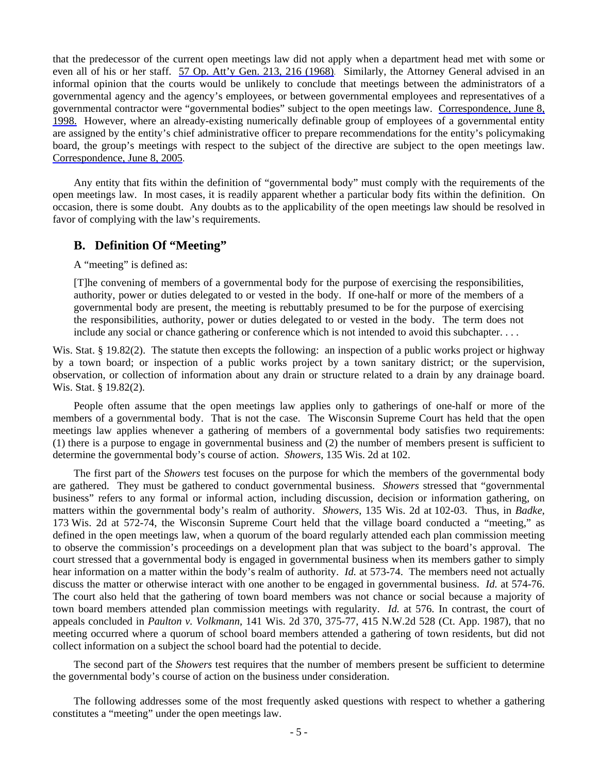that the predecessor of the current open meetings law did not apply when a department head met with some or even all of his or her staff. 57 Op. Att'y Gen. 213, 216 (1968). Similarly, the Attorney General advised in an informal opinion that the courts would be unlikely to conclude that meetings between the administrators of a governmental agency and the agency's employees, or between governmental employees and representatives of a governmental contractor were "governmental bodies" subject to the open meetings law. Correspondence, June 8, 1998. However, where an already-existing numerically definable group of employees of a governmental entity are assigned by the entity's chief administrative officer to prepare recommendations for the entity's policymaking board, the group's meetings with respect to the subject of the directive are subject to the open meetings law. Correspondence, June 8, 2005.

 Any entity that fits within the definition of "governmental body" must comply with the requirements of the open meetings law. In most cases, it is readily apparent whether a particular body fits within the definition. On occasion, there is some doubt. Any doubts as to the applicability of the open meetings law should be resolved in favor of complying with the law's requirements.

# **B. Definition Of "Meeting"**

A "meeting" is defined as:

 [T]he convening of members of a governmental body for the purpose of exercising the responsibilities, authority, power or duties delegated to or vested in the body. If one-half or more of the members of a governmental body are present, the meeting is rebuttably presumed to be for the purpose of exercising the responsibilities, authority, power or duties delegated to or vested in the body. The term does not include any social or chance gathering or conference which is not intended to avoid this subchapter. . . .

Wis. Stat. § 19.82(2). The statute then excepts the following: an inspection of a public works project or highway by a town board; or inspection of a public works project by a town sanitary district; or the supervision, observation, or collection of information about any drain or structure related to a drain by any drainage board. Wis. Stat. § 19.82(2).

 People often assume that the open meetings law applies only to gatherings of one-half or more of the members of a governmental body. That is not the case. The Wisconsin Supreme Court has held that the open meetings law applies whenever a gathering of members of a governmental body satisfies two requirements: (1) there is a purpose to engage in governmental business and (2) the number of members present is sufficient to determine the governmental body's course of action. *Showers*, 135 Wis. 2d at 102.

 The first part of the *Showers* test focuses on the purpose for which the members of the governmental body are gathered. They must be gathered to conduct governmental business. *Showers* stressed that "governmental business" refers to any formal or informal action, including discussion, decision or information gathering, on matters within the governmental body's realm of authority. *Showers*, 135 Wis. 2d at 102-03. Thus, in *Badke*, 173 Wis. 2d at 572-74, the Wisconsin Supreme Court held that the village board conducted a "meeting," as defined in the open meetings law, when a quorum of the board regularly attended each plan commission meeting to observe the commission's proceedings on a development plan that was subject to the board's approval. The court stressed that a governmental body is engaged in governmental business when its members gather to simply hear information on a matter within the body's realm of authority. *Id.* at 573-74. The members need not actually discuss the matter or otherwise interact with one another to be engaged in governmental business. *Id.* at 574-76. The court also held that the gathering of town board members was not chance or social because a majority of town board members attended plan commission meetings with regularity. *Id.* at 576. In contrast, the court of appeals concluded in *Paulton v. Volkmann*, 141 Wis. 2d 370, 375-77, 415 N.W.2d 528 (Ct. App. 1987), that no meeting occurred where a quorum of school board members attended a gathering of town residents, but did not collect information on a subject the school board had the potential to decide.

 The second part of the *Showers* test requires that the number of members present be sufficient to determine the governmental body's course of action on the business under consideration.

 The following addresses some of the most frequently asked questions with respect to whether a gathering constitutes a "meeting" under the open meetings law.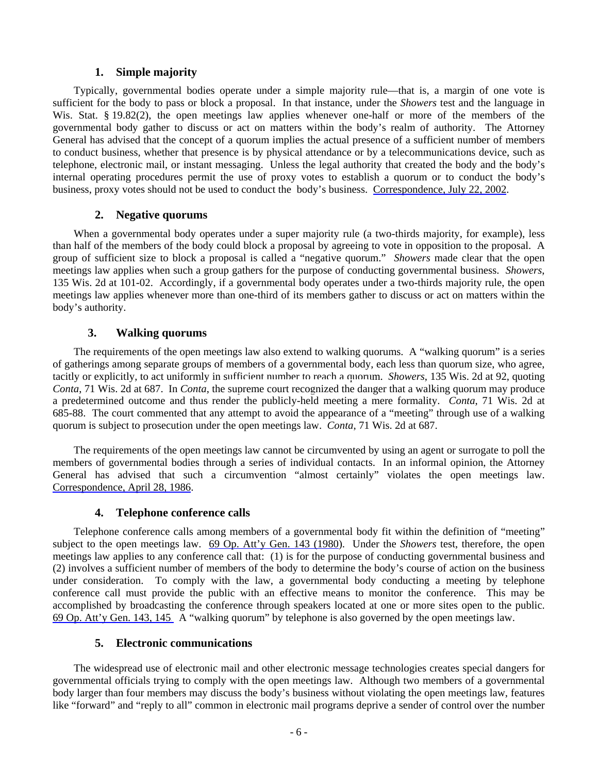# **1. Simple majority**

 Typically, governmental bodies operate under a simple majority rule—that is, a margin of one vote is sufficient for the body to pass or block a proposal. In that instance, under the *Showers* test and the language in Wis. Stat. § 19.82(2), the open meetings law applies whenever one-half or more of the members of the governmental body gather to discuss or act on matters within the body's realm of authority. The Attorney General has advised that the concept of a quorum implies the actual presence of a sufficient number of members to conduct business, whether that presence is by physical attendance or by a telecommunications device, such as telephone, electronic mail, or instant messaging. Unless the legal authority that created the body and the body's internal operating procedures permit the use of proxy votes to establish a quorum or to conduct the body's business, proxy votes should not be used to conduct the body's business. Correspondence, July 22, 2002.

# **2. Negative quorums**

 When a governmental body operates under a super majority rule (a two-thirds majority, for example), less than half of the members of the body could block a proposal by agreeing to vote in opposition to the proposal. A group of sufficient size to block a proposal is called a "negative quorum." *Showers* made clear that the open meetings law applies when such a group gathers for the purpose of conducting governmental business. *Showers*, 135 Wis. 2d at 101-02. Accordingly, if a governmental body operates under a two-thirds majority rule, the open meetings law applies whenever more than one-third of its members gather to discuss or act on matters within the body's authority.

# **3. Walking quorums**

 The requirements of the open meetings law also extend to walking quorums. A "walking quorum" is a series of gatherings among separate groups of members of a governmental body, each less than quorum size, who agree, tacitly or explicitly, to act uniformly in sufficient number to reach a quorum. *Showers*, 135 Wis. 2d at 92, quoting *Conta*, 71 Wis. 2d at 687. In *Conta*, the supreme court recognized the danger that a walking quorum may produce a predetermined outcome and thus render the publicly-held meeting a mere formality. *Conta*, 71 Wis. 2d at 685-88. The court commented that any attempt to avoid the appearance of a "meeting" through use of a walking quorum is subject to prosecution under the open meetings law. *Conta*, 71 Wis. 2d at 687.

 The requirements of the open meetings law cannot be circumvented by using an agent or surrogate to poll the members of governmental bodies through a series of individual contacts. In an informal opinion, the Attorney General has advised that such a circumvention "almost certainly" violates the open meetings law. Correspondence, April 28, 1986.

# **4. Telephone conference calls**

 Telephone conference calls among members of a governmental body fit within the definition of "meeting" subject to the open meetings law. 69 Op. Att'y Gen. 143 (1980). Under the *Showers* test, therefore, the open meetings law applies to any conference call that: (1) is for the purpose of conducting governmental business and (2) involves a sufficient number of members of the body to determine the body's course of action on the business under consideration. To comply with the law, a governmental body conducting a meeting by telephone conference call must provide the public with an effective means to monitor the conference. This may be accomplished by broadcasting the conference through speakers located at one or more sites open to the public. 69 Op. Att'y Gen. 143, 145. A "walking quorum" by telephone is also governed by the open meetings law.

# **5. Electronic communications**

 The widespread use of electronic mail and other electronic message technologies creates special dangers for governmental officials trying to comply with the open meetings law. Although two members of a governmental body larger than four members may discuss the body's business without violating the open meetings law, features like "forward" and "reply to all" common in electronic mail programs deprive a sender of control over the number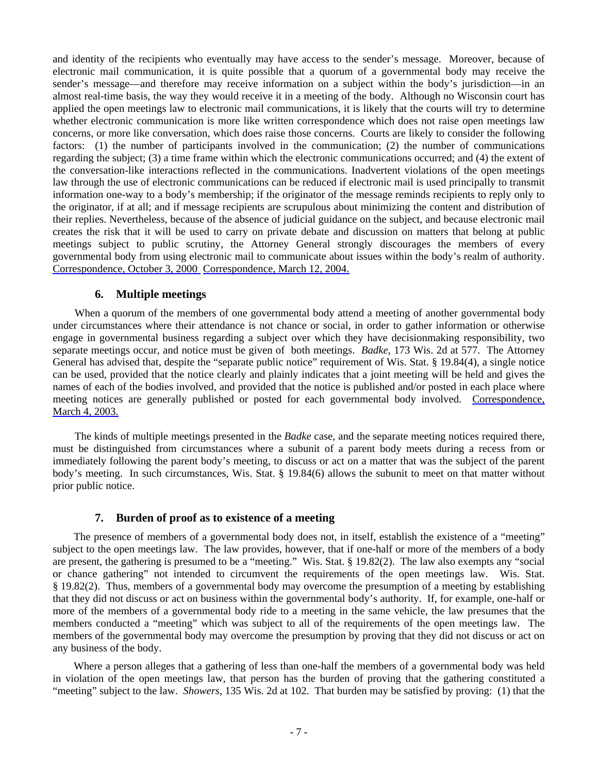and identity of the recipients who eventually may have access to the sender's message. Moreover, because of electronic mail communication, it is quite possible that a quorum of a governmental body may receive the sender's message—and therefore may receive information on a subject within the body's jurisdiction—in an almost real-time basis, the way they would receive it in a meeting of the body. Although no Wisconsin court has applied the open meetings law to electronic mail communications, it is likely that the courts will try to determine whether electronic communication is more like written correspondence which does not raise open meetings law concerns, or more like conversation, which does raise those concerns. Courts are likely to consider the following factors: (1) the number of participants involved in the communication; (2) the number of communications regarding the subject; (3) a time frame within which the electronic communications occurred; and (4) the extent of the conversation-like interactions reflected in the communications. Inadvertent violations of the open meetings law through the use of electronic communications can be reduced if electronic mail is used principally to transmit information one-way to a body's membership; if the originator of the message reminds recipients to reply only to the originator, if at all; and if message recipients are scrupulous about minimizing the content and distribution of their replies. Nevertheless, because of the absence of judicial guidance on the subject, and because electronic mail creates the risk that it will be used to carry on private debate and discussion on matters that belong at public meetings subject to public scrutiny, the Attorney General strongly discourages the members of every governmental body from using electronic mail to communicate about issues within the body's realm of authority. Correspondence, October 3, 2000; Correspondence, March 12, 2004.

#### **6. Multiple meetings**

When a quorum of the members of one governmental body attend a meeting of another governmental body under circumstances where their attendance is not chance or social, in order to gather information or otherwise engage in governmental business regarding a subject over which they have decisionmaking responsibility, two separate meetings occur, and notice must be given of both meetings. *Badke*, 173 Wis. 2d at 577. The Attorney General has advised that, despite the "separate public notice" requirement of Wis. Stat. § 19.84(4), a single notice can be used, provided that the notice clearly and plainly indicates that a joint meeting will be held and gives the names of each of the bodies involved, and provided that the notice is published and/or posted in each place where meeting notices are generally published or posted for each governmental body involved. Correspondence, March 4, 2003.

 The kinds of multiple meetings presented in the *Badke* case, and the separate meeting notices required there, must be distinguished from circumstances where a subunit of a parent body meets during a recess from or immediately following the parent body's meeting, to discuss or act on a matter that was the subject of the parent body's meeting. In such circumstances, Wis. Stat. § 19.84(6) allows the subunit to meet on that matter without prior public notice.

# **7. Burden of proof as to existence of a meeting**

 The presence of members of a governmental body does not, in itself, establish the existence of a "meeting" subject to the open meetings law. The law provides, however, that if one-half or more of the members of a body are present, the gathering is presumed to be a "meeting." Wis. Stat. § 19.82(2). The law also exempts any "social or chance gathering" not intended to circumvent the requirements of the open meetings law. Wis. Stat. § 19.82(2). Thus, members of a governmental body may overcome the presumption of a meeting by establishing that they did not discuss or act on business within the governmental body's authority. If, for example, one-half or more of the members of a governmental body ride to a meeting in the same vehicle, the law presumes that the members conducted a "meeting" which was subject to all of the requirements of the open meetings law. The members of the governmental body may overcome the presumption by proving that they did not discuss or act on any business of the body.

 Where a person alleges that a gathering of less than one-half the members of a governmental body was held in violation of the open meetings law, that person has the burden of proving that the gathering constituted a "meeting" subject to the law. *Showers*, 135 Wis. 2d at 102. That burden may be satisfied by proving: (1) that the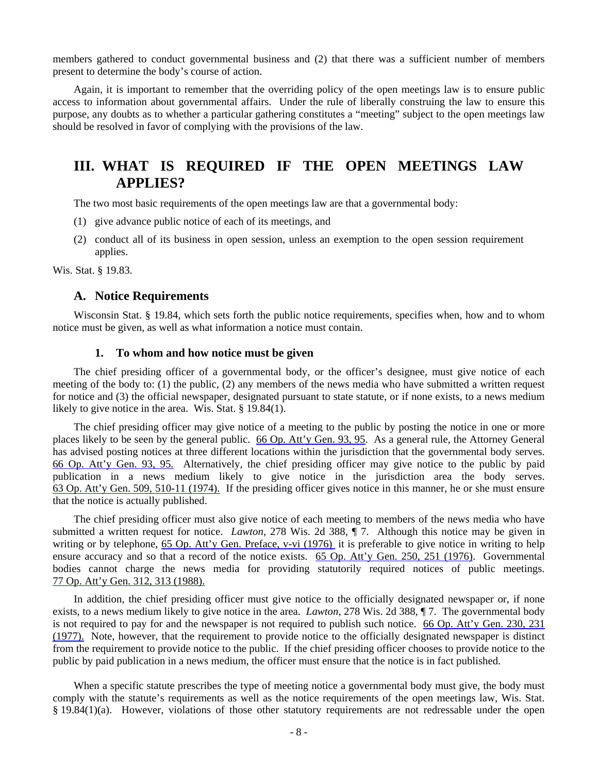members gathered to conduct governmental business and (2) that there was a sufficient number of members present to determine the body's course of action.

 Again, it is important to remember that the overriding policy of the open meetings law is to ensure public access to information about governmental affairs. Under the rule of liberally construing the law to ensure this purpose, any doubts as to whether a particular gathering constitutes a "meeting" subject to the open meetings law should be resolved in favor of complying with the provisions of the law.

# **III. WHAT IS REQUIRED IF THE OPEN MEETINGS LAW APPLIES?**

The two most basic requirements of the open meetings law are that a governmental body:

- (1) give advance public notice of each of its meetings, and
- (2) conduct all of its business in open session, unless an exemption to the open session requirement applies.

Wis. Stat. § 19.83.

# **A. Notice Requirements**

 Wisconsin Stat. § 19.84, which sets forth the public notice requirements, specifies when, how and to whom notice must be given, as well as what information a notice must contain.

#### **1. To whom and how notice must be given**

 The chief presiding officer of a governmental body, or the officer's designee, must give notice of each meeting of the body to: (1) the public, (2) any members of the news media who have submitted a written request for notice and (3) the official newspaper, designated pursuant to state statute, or if none exists, to a news medium likely to give notice in the area. Wis. Stat. § 19.84(1).

 The chief presiding officer may give notice of a meeting to the public by posting the notice in one or more places likely to be seen by the general public. 66 Op. Att'y Gen. 93, 95. As a general rule, the Attorney General has advised posting notices at three different locations within the jurisdiction that the governmental body serves. 66 Op. Att'y Gen. 93, 95. Alternatively, the chief presiding officer may give notice to the public by paid publication in a news medium likely to give notice in the jurisdiction area the body serves. 63 Op. Att'y Gen. 509, 510-11 (1974). If the presiding officer gives notice in this manner, he or she must ensure that the notice is actually published.

 The chief presiding officer must also give notice of each meeting to members of the news media who have submitted a written request for notice. *Lawton*, 278 Wis. 2d 388, ¶ 7. Although this notice may be given in writing or by telephone, 65 Op. Att'y Gen. Preface, v-vi (1976), it is preferable to give notice in writing to help ensure accuracy and so that a record of the notice exists. 65 Op. Att'y Gen. 250, 251 (1976). Governmental bodies cannot charge the news media for providing statutorily required notices of public meetings. 77 Op. Att'y Gen. 312, 313 (1988).

 In addition, the chief presiding officer must give notice to the officially designated newspaper or, if none exists, to a news medium likely to give notice in the area. *Lawton*, 278 Wis. 2d 388, ¶ 7. The governmental body is not required to pay for and the newspaper is not required to publish such notice. 66 Op. Att'y Gen. 230, 231 (1977). Note, however, that the requirement to provide notice to the officially designated newspaper is distinct from the requirement to provide notice to the public. If the chief presiding officer chooses to provide notice to the public by paid publication in a news medium, the officer must ensure that the notice is in fact published.

When a specific statute prescribes the type of meeting notice a governmental body must give, the body must comply with the statute's requirements as well as the notice requirements of the open meetings law, Wis. Stat. § 19.84(1)(a). However, violations of those other statutory requirements are not redressable under the open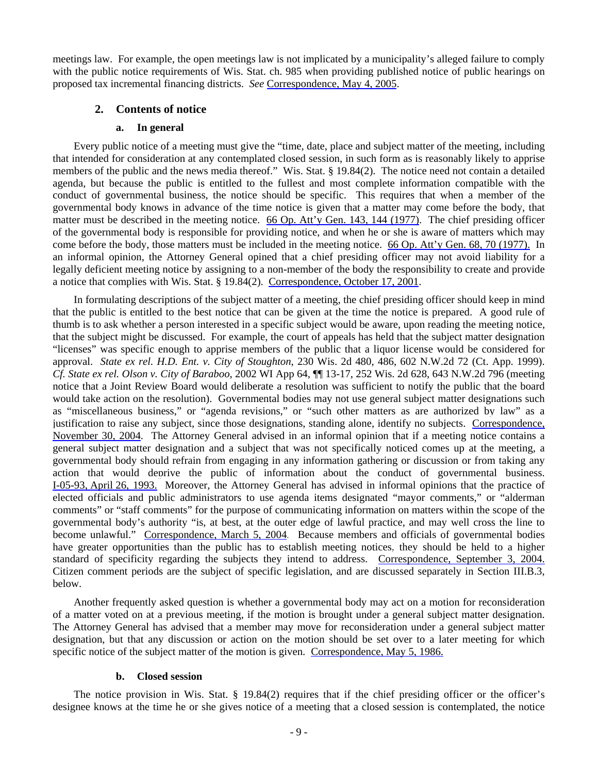meetings law. For example, the open meetings law is not implicated by a municipality's alleged failure to comply with the public notice requirements of Wis. Stat. ch. 985 when providing published notice of public hearings on proposed tax incremental financing districts. *See* Correspondence, May 4, 2005.

## **2. Contents of notice**

#### **a. In general**

 Every public notice of a meeting must give the "time, date, place and subject matter of the meeting, including that intended for consideration at any contemplated closed session, in such form as is reasonably likely to apprise members of the public and the news media thereof." Wis. Stat. § 19.84(2). The notice need not contain a detailed agenda, but because the public is entitled to the fullest and most complete information compatible with the conduct of governmental business, the notice should be specific. This requires that when a member of the governmental body knows in advance of the time notice is given that a matter may come before the body, that matter must be described in the meeting notice. 66 Op. Att'y Gen. 143, 144 (1977). The chief presiding officer of the governmental body is responsible for providing notice, and when he or she is aware of matters which may come before the body, those matters must be included in the meeting notice. 66 Op. Att'y Gen. 68, 70 (1977). In an informal opinion, the Attorney General opined that a chief presiding officer may not avoid liability for a legally deficient meeting notice by assigning to a non-member of the body the responsibility to create and provide a notice that complies with Wis. Stat. § 19.84(2). Correspondence, October 17, 2001.

 In formulating descriptions of the subject matter of a meeting, the chief presiding officer should keep in mind that the public is entitled to the best notice that can be given at the time the notice is prepared. A good rule of thumb is to ask whether a person interested in a specific subject would be aware, upon reading the meeting notice, that the subject might be discussed. For example, the court of appeals has held that the subject matter designation "licenses" was specific enough to apprise members of the public that a liquor license would be considered for approval. *State ex rel. H.D. Ent. v. City of Stoughton*, 230 Wis. 2d 480, 486, 602 N.W.2d 72 (Ct. App. 1999). *Cf. State ex rel. Olson v. City of Baraboo*, 2002 WI App 64, ¶¶ 13-17, 252 Wis. 2d 628, 643 N.W.2d 796 (meeting notice that a Joint Review Board would deliberate a resolution was sufficient to notify the public that the board would take action on the resolution). Governmental bodies may not use general subject matter designations such as "miscellaneous business," or "agenda revisions," or "such other matters as are authorized by law" as a justification to raise any subject, since those designations, standing alone, identify no subjects. Correspondence, November 30, 2004. The Attorney General advised in an informal opinion that if a meeting notice contains a general subject matter designation and a subject that was not specifically noticed comes up at the meeting, a governmental body should refrain from engaging in any information gathering or discussion or from taking any action that would deprive the public of information about the conduct of governmental business. I-05-93, April 26, 1993. Moreover, the Attorney General has advised in informal opinions that the practice of elected officials and public administrators to use agenda items designated "mayor comments," or "alderman comments" or "staff comments" for the purpose of communicating information on matters within the scope of the governmental body's authority "is, at best, at the outer edge of lawful practice, and may well cross the line to become unlawful." Correspondence, March 5, 2004. Because members and officials of governmental bodies have greater opportunities than the public has to establish meeting notices, they should be held to a higher standard of specificity regarding the subjects they intend to address. Correspondence, September 3, 2004. Citizen comment periods are the subject of specific legislation, and are discussed separately in Section III.B.3, below.

 Another frequently asked question is whether a governmental body may act on a motion for reconsideration of a matter voted on at a previous meeting, if the motion is brought under a general subject matter designation. The Attorney General has advised that a member may move for reconsideration under a general subject matter designation, but that any discussion or action on the motion should be set over to a later meeting for which specific notice of the subject matter of the motion is given. Correspondence, May 5, 1986.

#### **b. Closed session**

 The notice provision in Wis. Stat. § 19.84(2) requires that if the chief presiding officer or the officer's designee knows at the time he or she gives notice of a meeting that a closed session is contemplated, the notice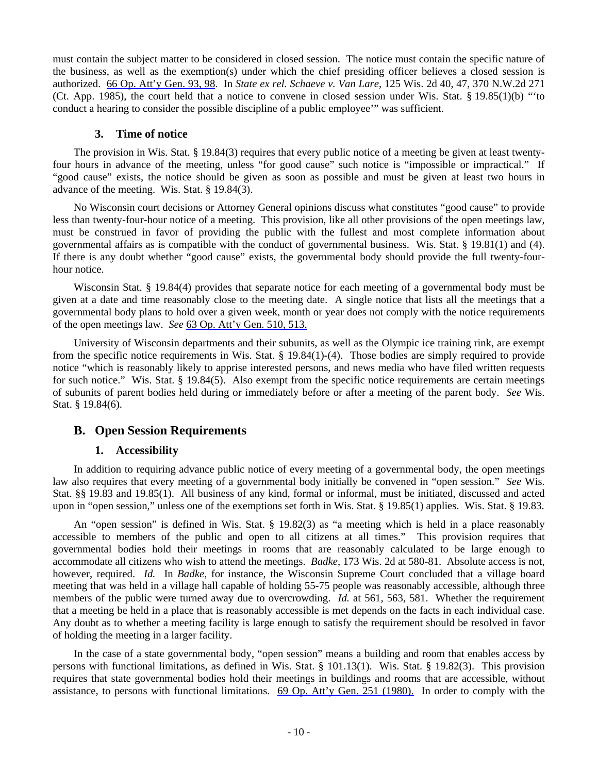must contain the subject matter to be considered in closed session. The notice must contain the specific nature of the business, as well as the exemption(s) under which the chief presiding officer believes a closed session is authorized. 66 Op. Att'y Gen. 93, 98. In *State ex rel. Schaeve v. Van Lare*, 125 Wis. 2d 40, 47, 370 N.W.2d 271 (Ct. App. 1985), the court held that a notice to convene in closed session under Wis. Stat. § 19.85(1)(b) "'to conduct a hearing to consider the possible discipline of a public employee'" was sufficient.

## **3. Time of notice**

 The provision in Wis. Stat. § 19.84(3) requires that every public notice of a meeting be given at least twentyfour hours in advance of the meeting, unless "for good cause" such notice is "impossible or impractical." If "good cause" exists, the notice should be given as soon as possible and must be given at least two hours in advance of the meeting. Wis. Stat. § 19.84(3).

 No Wisconsin court decisions or Attorney General opinions discuss what constitutes "good cause" to provide less than twenty-four-hour notice of a meeting. This provision, like all other provisions of the open meetings law, must be construed in favor of providing the public with the fullest and most complete information about governmental affairs as is compatible with the conduct of governmental business. Wis. Stat. § 19.81(1) and (4). If there is any doubt whether "good cause" exists, the governmental body should provide the full twenty-fourhour notice.

 Wisconsin Stat. § 19.84(4) provides that separate notice for each meeting of a governmental body must be given at a date and time reasonably close to the meeting date. A single notice that lists all the meetings that a governmental body plans to hold over a given week, month or year does not comply with the notice requirements of the open meetings law. *See* 63 Op. Att'y Gen. 510, 513.

 University of Wisconsin departments and their subunits, as well as the Olympic ice training rink, are exempt from the specific notice requirements in Wis. Stat. § 19.84(1)-(4). Those bodies are simply required to provide notice "which is reasonably likely to apprise interested persons, and news media who have filed written requests for such notice." Wis. Stat. § 19.84(5). Also exempt from the specific notice requirements are certain meetings of subunits of parent bodies held during or immediately before or after a meeting of the parent body. *See* Wis. Stat. § 19.84(6).

# **B. Open Session Requirements**

# **1. Accessibility**

 In addition to requiring advance public notice of every meeting of a governmental body, the open meetings law also requires that every meeting of a governmental body initially be convened in "open session." *See* Wis. Stat. §§ 19.83 and 19.85(1). All business of any kind, formal or informal, must be initiated, discussed and acted upon in "open session," unless one of the exemptions set forth in Wis. Stat. § 19.85(1) applies. Wis. Stat. § 19.83.

 An "open session" is defined in Wis. Stat. § 19.82(3) as "a meeting which is held in a place reasonably accessible to members of the public and open to all citizens at all times." This provision requires that governmental bodies hold their meetings in rooms that are reasonably calculated to be large enough to accommodate all citizens who wish to attend the meetings. *Badke*, 173 Wis. 2d at 580-81. Absolute access is not, however, required. *Id.* In *Badke*, for instance, the Wisconsin Supreme Court concluded that a village board meeting that was held in a village hall capable of holding 55-75 people was reasonably accessible, although three members of the public were turned away due to overcrowding. *Id.* at 561, 563, 581. Whether the requirement that a meeting be held in a place that is reasonably accessible is met depends on the facts in each individual case. Any doubt as to whether a meeting facility is large enough to satisfy the requirement should be resolved in favor of holding the meeting in a larger facility.

 In the case of a state governmental body, "open session" means a building and room that enables access by persons with functional limitations, as defined in Wis. Stat. § 101.13(1). Wis. Stat. § 19.82(3). This provision requires that state governmental bodies hold their meetings in buildings and rooms that are accessible, without assistance, to persons with functional limitations. 69 Op. Att'y Gen. 251 (1980). In order to comply with the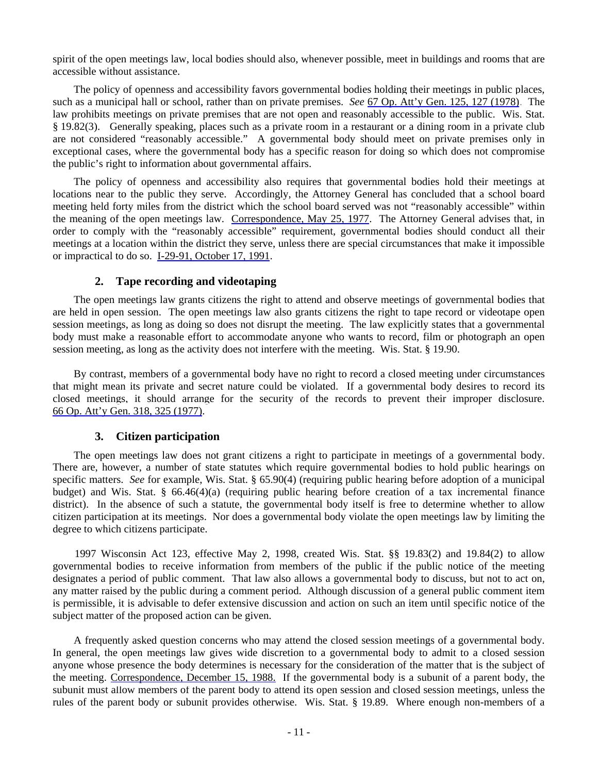spirit of the open meetings law, local bodies should also, whenever possible, meet in buildings and rooms that are accessible without assistance.

 The policy of openness and accessibility favors governmental bodies holding their meetings in public places, such as a municipal hall or school, rather than on private premises. *See* 67 Op. Att'y Gen. 125, 127 (1978). The law prohibits meetings on private premises that are not open and reasonably accessible to the public. Wis. Stat. § 19.82(3). Generally speaking, places such as a private room in a restaurant or a dining room in a private club are not considered "reasonably accessible." A governmental body should meet on private premises only in exceptional cases, where the governmental body has a specific reason for doing so which does not compromise the public's right to information about governmental affairs.

 The policy of openness and accessibility also requires that governmental bodies hold their meetings at locations near to the public they serve. Accordingly, the Attorney General has concluded that a school board meeting held forty miles from the district which the school board served was not "reasonably accessible" within the meaning of the open meetings law. Correspondence, May 25, 1977. The Attorney General advises that, in order to comply with the "reasonably accessible" requirement, governmental bodies should conduct all their meetings at a location within the district they serve, unless there are special circumstances that make it impossible or impractical to do so. I-29-91, October 17, 1991.

#### **2. Tape recording and videotaping**

 The open meetings law grants citizens the right to attend and observe meetings of governmental bodies that are held in open session. The open meetings law also grants citizens the right to tape record or videotape open session meetings, as long as doing so does not disrupt the meeting. The law explicitly states that a governmental body must make a reasonable effort to accommodate anyone who wants to record, film or photograph an open session meeting, as long as the activity does not interfere with the meeting. Wis. Stat. § 19.90.

 By contrast, members of a governmental body have no right to record a closed meeting under circumstances that might mean its private and secret nature could be violated. If a governmental body desires to record its closed meetings, it should arrange for the security of the records to prevent their improper disclosure. 66 Op. Att'y Gen. 318, 325 (1977).

# **3. Citizen participation**

 The open meetings law does not grant citizens a right to participate in meetings of a governmental body. There are, however, a number of state statutes which require governmental bodies to hold public hearings on specific matters. *See* for example, Wis. Stat. § 65.90(4) (requiring public hearing before adoption of a municipal budget) and Wis. Stat. § 66.46(4)(a) (requiring public hearing before creation of a tax incremental finance district). In the absence of such a statute, the governmental body itself is free to determine whether to allow citizen participation at its meetings. Nor does a governmental body violate the open meetings law by limiting the degree to which citizens participate.

 1997 Wisconsin Act 123, effective May 2, 1998, created Wis. Stat. §§ 19.83(2) and 19.84(2) to allow governmental bodies to receive information from members of the public if the public notice of the meeting designates a period of public comment. That law also allows a governmental body to discuss, but not to act on, any matter raised by the public during a comment period. Although discussion of a general public comment item is permissible, it is advisable to defer extensive discussion and action on such an item until specific notice of the subject matter of the proposed action can be given.

 A frequently asked question concerns who may attend the closed session meetings of a governmental body. In general, the open meetings law gives wide discretion to a governmental body to admit to a closed session anyone whose presence the body determines is necessary for the consideration of the matter that is the subject of the meeting. Correspondence, December 15, 1988. If the governmental body is a subunit of a parent body, the subunit must allow members of the parent body to attend its open session and closed session meetings, unless the rules of the parent body or subunit provides otherwise. Wis. Stat. § 19.89. Where enough non-members of a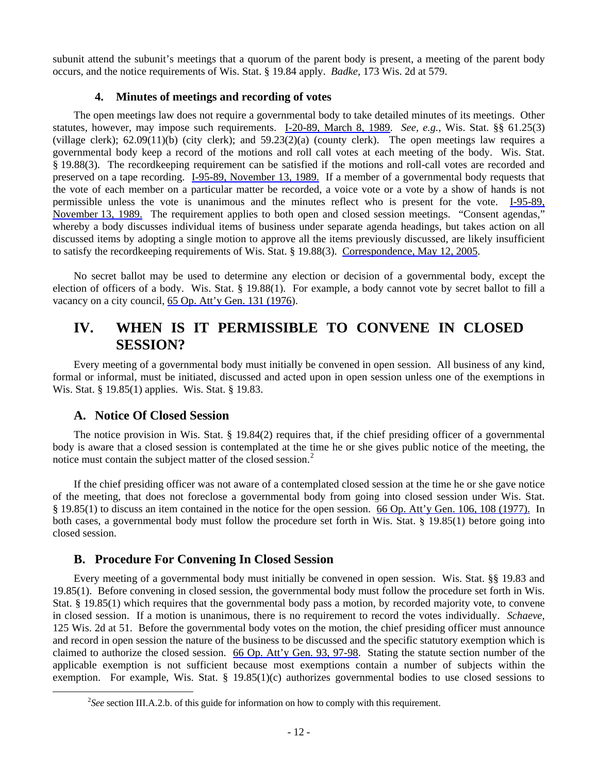subunit attend the subunit's meetings that a quorum of the parent body is present, a meeting of the parent body occurs, and the notice requirements of Wis. Stat. § 19.84 apply. *Badke*, 173 Wis. 2d at 579.

# **4. Minutes of meetings and recording of votes**

 The open meetings law does not require a governmental body to take detailed minutes of its meetings. Other statutes, however, may impose such requirements. I-20-89, March 8, 1989. *See, e.g.*, Wis. Stat. §§ 61.25(3) (village clerk); 62.09(11)(b) (city clerk); and 59.23(2)(a) (county clerk). The open meetings law requires a governmental body keep a record of the motions and roll call votes at each meeting of the body. Wis. Stat. § 19.88(3). The recordkeeping requirement can be satisfied if the motions and roll-call votes are recorded and preserved on a tape recording. I-95-89, November 13, 1989. If a member of a governmental body requests that the vote of each member on a particular matter be recorded, a voice vote or a vote by a show of hands is not permissible unless the vote is unanimous and the minutes reflect who is present for the vote. I-95-89, November 13, 1989. The requirement applies to both open and closed session meetings. "Consent agendas," whereby a body discusses individual items of business under separate agenda headings, but takes action on all discussed items by adopting a single motion to approve all the items previously discussed, are likely insufficient to satisfy the recordkeeping requirements of Wis. Stat. § 19.88(3). Correspondence, May 12, 2005.

 No secret ballot may be used to determine any election or decision of a governmental body, except the election of officers of a body. Wis. Stat. § 19.88(1). For example, a body cannot vote by secret ballot to fill a vacancy on a city council, 65 Op. Att'y Gen. 131 (1976).

# **IV. WHEN IS IT PERMISSIBLE TO CONVENE IN CLOSED SESSION?**

 Every meeting of a governmental body must initially be convened in open session. All business of any kind, formal or informal, must be initiated, discussed and acted upon in open session unless one of the exemptions in Wis. Stat. § 19.85(1) applies. Wis. Stat. § 19.83.

# **A. Notice Of Closed Session**

 The notice provision in Wis. Stat. § 19.84(2) requires that, if the chief presiding officer of a governmental body is aware that a closed session is contemplated at the time he or she gives public notice of the meeting, the notice must contain the subject matter of the closed session.<sup>[2](#page-15-0)</sup>

 If the chief presiding officer was not aware of a contemplated closed session at the time he or she gave notice of the meeting, that does not foreclose a governmental body from going into closed session under Wis. Stat. § 19.85(1) to discuss an item contained in the notice for the open session. 66 Op. Att'y Gen. 106, 108 (1977). In both cases, a governmental body must follow the procedure set forth in Wis. Stat. § 19.85(1) before going into closed session.

# **B. Procedure For Convening In Closed Session**

 Every meeting of a governmental body must initially be convened in open session. Wis. Stat. §§ 19.83 and 19.85(1). Before convening in closed session, the governmental body must follow the procedure set forth in Wis. Stat. § 19.85(1) which requires that the governmental body pass a motion, by recorded majority vote, to convene in closed session. If a motion is unanimous, there is no requirement to record the votes individually. *Schaeve*, 125 Wis. 2d at 51. Before the governmental body votes on the motion, the chief presiding officer must announce and record in open session the nature of the business to be discussed and the specific statutory exemption which is claimed to authorize the closed session. 66 Op. Att'y Gen. 93, 97-98. Stating the statute section number of the applicable exemption is not sufficient because most exemptions contain a number of subjects within the exemption. For example, Wis. Stat. § 19.85(1)(c) authorizes governmental bodies to use closed sessions to

<span id="page-15-0"></span><sup>&</sup>lt;sup>2</sup>See section III.A.2.b. of this guide for information on how to comply with this requirement.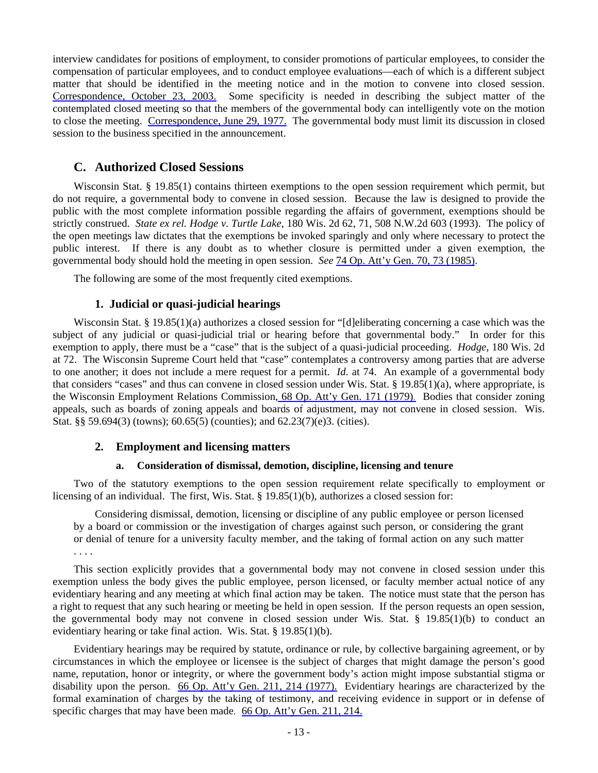interview candidates for positions of employment, to consider promotions of particular employees, to consider the compensation of particular employees, and to conduct employee evaluations—each of which is a different subject matter that should be identified in the meeting notice and in the motion to convene into closed session. Correspondence, October 23, 2003. Some specificity is needed in describing the subject matter of the contemplated closed meeting so that the members of the governmental body can intelligently vote on the motion to close the meeting. Correspondence, June 29, 1977. The governmental body must limit its discussion in closed session to the business specified in the announcement.

# **C. Authorized Closed Sessions**

Wisconsin Stat. § 19.85(1) contains thirteen exemptions to the open session requirement which permit, but do not require, a governmental body to convene in closed session. Because the law is designed to provide the public with the most complete information possible regarding the affairs of government, exemptions should be strictly construed. *State ex rel. Hodge v. Turtle Lake*, 180 Wis. 2d 62, 71, 508 N.W.2d 603 (1993). The policy of the open meetings law dictates that the exemptions be invoked sparingly and only where necessary to protect the public interest. If there is any doubt as to whether closure is permitted under a given exemption, the governmental body should hold the meeting in open session. *See* 74 Op. Att'y Gen. 70, 73 (1985).

The following are some of the most frequently cited exemptions.

# **1. Judicial or quasi-judicial hearings**

Wisconsin Stat. § 19.85(1)(a) authorizes a closed session for "[d]eliberating concerning a case which was the subject of any judicial or quasi-judicial trial or hearing before that governmental body." In order for this exemption to apply, there must be a "case" that is the subject of a quasi-judicial proceeding. *Hodge*, 180 Wis. 2d at 72. The Wisconsin Supreme Court held that "case" contemplates a controversy among parties that are adverse to one another; it does not include a mere request for a permit. *Id.* at 74. An example of a governmental body that considers "cases" and thus can convene in closed session under Wis. Stat.  $\S$  19.85(1)(a), where appropriate, is the Wisconsin Employment Relations Commission, 68 Op. Att'y Gen. 171 (1979). Bodies that consider zoning appeals, such as boards of zoning appeals and boards of adjustment, may not convene in closed session. Wis. Stat. §§ 59.694(3) (towns); 60.65(5) (counties); and 62.23(7)(e)3. (cities).

# **2. Employment and licensing matters**

#### **a. Consideration of dismissal, demotion, discipline, licensing and tenure**

 Two of the statutory exemptions to the open session requirement relate specifically to employment or licensing of an individual. The first, Wis. Stat. § 19.85(1)(b), authorizes a closed session for:

 Considering dismissal, demotion, licensing or discipline of any public employee or person licensed by a board or commission or the investigation of charges against such person, or considering the grant or denial of tenure for a university faculty member, and the taking of formal action on any such matter . . . .

 This section explicitly provides that a governmental body may not convene in closed session under this exemption unless the body gives the public employee, person licensed, or faculty member actual notice of any evidentiary hearing and any meeting at which final action may be taken. The notice must state that the person has a right to request that any such hearing or meeting be held in open session. If the person requests an open session, the governmental body may not convene in closed session under Wis. Stat. § 19.85(1)(b) to conduct an evidentiary hearing or take final action. Wis. Stat. § 19.85(1)(b).

 Evidentiary hearings may be required by statute, ordinance or rule, by collective bargaining agreement, or by circumstances in which the employee or licensee is the subject of charges that might damage the person's good name, reputation, honor or integrity, or where the government body's action might impose substantial stigma or disability upon the person. 66 Op. Att'y Gen. 211, 214 (1977). Evidentiary hearings are characterized by the formal examination of charges by the taking of testimony, and receiving evidence in support or in defense of specific charges that may have been made. 66 Op. Att'y Gen. 211, 214.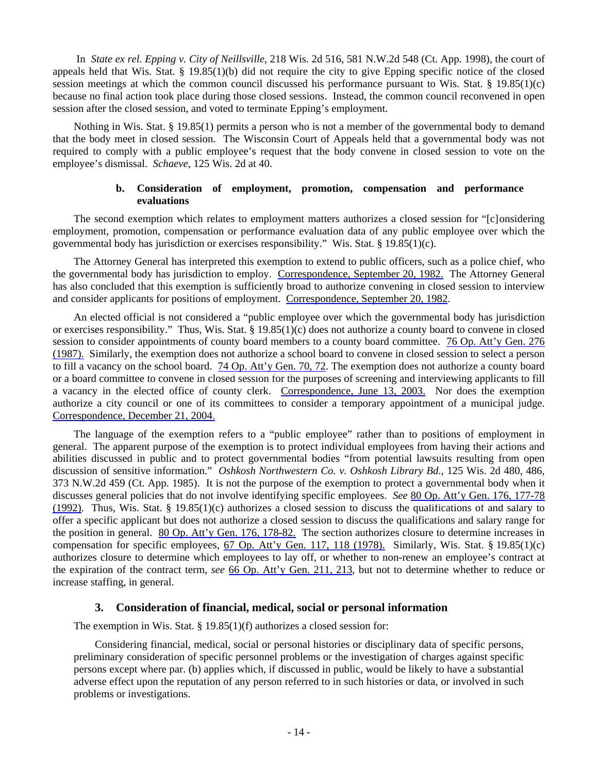In *State ex rel. Epping v. City of Neillsville*, 218 Wis. 2d 516, 581 N.W.2d 548 (Ct. App. 1998), the court of appeals held that Wis. Stat.  $\S$  19.85(1)(b) did not require the city to give Epping specific notice of the closed session meetings at which the common council discussed his performance pursuant to Wis. Stat. § 19.85(1)(c) because no final action took place during those closed sessions. Instead, the common council reconvened in open session after the closed session, and voted to terminate Epping's employment.

 Nothing in Wis. Stat. § 19.85(1) permits a person who is not a member of the governmental body to demand that the body meet in closed session. The Wisconsin Court of Appeals held that a governmental body was not required to comply with a public employee's request that the body convene in closed session to vote on the employee's dismissal. *Schaeve*, 125 Wis. 2d at 40.

#### **b. Consideration of employment, promotion, compensation and performance evaluations**

 The second exemption which relates to employment matters authorizes a closed session for "[c]onsidering employment, promotion, compensation or performance evaluation data of any public employee over which the governmental body has jurisdiction or exercises responsibility." Wis. Stat. § 19.85(1)(c).

 The Attorney General has interpreted this exemption to extend to public officers, such as a police chief, who the governmental body has jurisdiction to employ. Correspondence, September 20, 1982. The Attorney General has also concluded that this exemption is sufficiently broad to authorize convening in closed session to interview and consider applicants for positions of employment. Correspondence, September 20, 1982.

 An elected official is not considered a "public employee over which the governmental body has jurisdiction or exercises responsibility." Thus, Wis. Stat. § 19.85(1)(c) does not authorize a county board to convene in closed session to consider appointments of county board members to a county board committee. 76 Op. Att'y Gen. 276 (1987). Similarly, the exemption does not authorize a school board to convene in closed session to select a person to fill a vacancy on the school board. 74 Op. Att'y Gen. 70, 72. The exemption does not authorize a county board or a board committee to convene in closed session for the purposes of screening and interviewing applicants to fill a vacancy in the elected office of county clerk. Correspondence, June 13, 2003. Nor does the exemption authorize a city council or one of its committees to consider a temporary appointment of a municipal judge. Correspondence, December 21, 2004.

 The language of the exemption refers to a "public employee" rather than to positions of employment in general. The apparent purpose of the exemption is to protect individual employees from having their actions and abilities discussed in public and to protect governmental bodies "from potential lawsuits resulting from open discussion of sensitive information." *Oshkosh Northwestern Co. v. Oshkosh Library Bd.*, 125 Wis. 2d 480, 486, 373 N.W.2d 459 (Ct. App. 1985). It is not the purpose of the exemption to protect a governmental body when it discusses general policies that do not involve identifying specific employees. *See* 80 Op. Att'y Gen. 176, 177-78 (1992). Thus, Wis. Stat. § 19.85(1)(c) authorizes a closed session to discuss the qualifications of and salary to offer a specific applicant but does not authorize a closed session to discuss the qualifications and salary range for the position in general. 80 Op. Att'y Gen. 176, 178-82. The section authorizes closure to determine increases in compensation for specific employees, 67 Op. Att'y Gen. 117, 118 (1978). Similarly, Wis. Stat. § 19.85(1)(c) authorizes closure to determine which employees to lay off, or whether to non-renew an employee's contract at the expiration of the contract term, *see* 66 Op. Att'y Gen. 211, 213, but not to determine whether to reduce or increase staffing, in general.

# **3. Consideration of financial, medical, social or personal information**

The exemption in Wis. Stat. § 19.85(1)(f) authorizes a closed session for:

 Considering financial, medical, social or personal histories or disciplinary data of specific persons, preliminary consideration of specific personnel problems or the investigation of charges against specific persons except where par. (b) applies which, if discussed in public, would be likely to have a substantial adverse effect upon the reputation of any person referred to in such histories or data, or involved in such problems or investigations.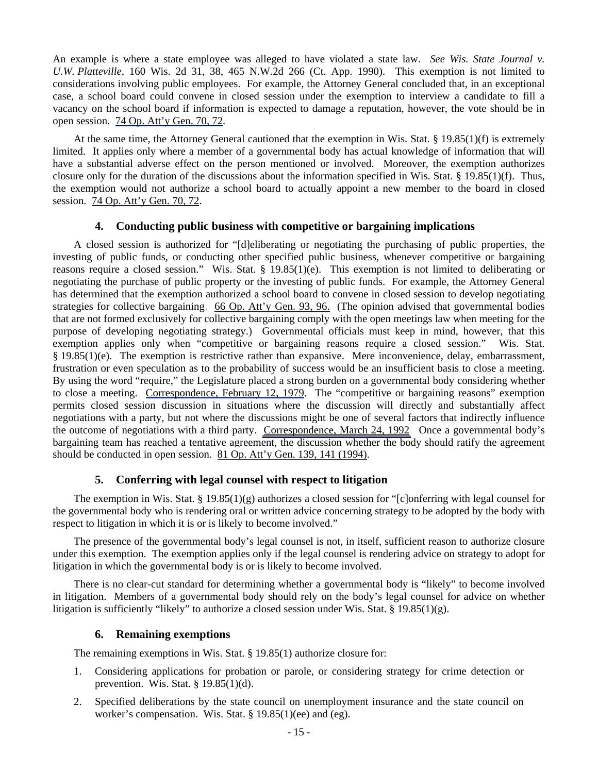An example is where a state employee was alleged to have violated a state law. *See Wis. State Journal v. U.W. Platteville*, 160 Wis. 2d 31, 38, 465 N.W.2d 266 (Ct. App. 1990). This exemption is not limited to considerations involving public employees. For example, the Attorney General concluded that, in an exceptional case, a school board could convene in closed session under the exemption to interview a candidate to fill a vacancy on the school board if information is expected to damage a reputation, however, the vote should be in open session. 74 Op. Att'y Gen. 70, 72.

 At the same time, the Attorney General cautioned that the exemption in Wis. Stat. § 19.85(1)(f) is extremely limited. It applies only where a member of a governmental body has actual knowledge of information that will have a substantial adverse effect on the person mentioned or involved. Moreover, the exemption authorizes closure only for the duration of the discussions about the information specified in Wis. Stat. § 19.85(1)(f). Thus, the exemption would not authorize a school board to actually appoint a new member to the board in closed session. 74 Op. Att'y Gen. 70, 72.

# **4. Conducting public business with competitive or bargaining implications**

 A closed session is authorized for "[d]eliberating or negotiating the purchasing of public properties, the investing of public funds, or conducting other specified public business, whenever competitive or bargaining reasons require a closed session." Wis. Stat. § 19.85(1)(e). This exemption is not limited to deliberating or negotiating the purchase of public property or the investing of public funds. For example, the Attorney General has determined that the exemption authorized a school board to convene in closed session to develop negotiating strategies for collective bargaining. 66 Op. Att'y Gen. 93, 96. (The opinion advised that governmental bodies that are not formed exclusively for collective bargaining comply with the open meetings law when meeting for the purpose of developing negotiating strategy.) Governmental officials must keep in mind, however, that this exemption applies only when "competitive or bargaining reasons require a closed session." Wis. Stat. § 19.85(1)(e). The exemption is restrictive rather than expansive. Mere inconvenience, delay, embarrassment, frustration or even speculation as to the probability of success would be an insufficient basis to close a meeting. By using the word "require," the Legislature placed a strong burden on a governmental body considering whether to close a meeting. Correspondence, February 12, 1979. The "competitive or bargaining reasons" exemption permits closed session discussion in situations where the discussion will directly and substantially affect negotiations with a party, but not where the discussions might be one of several factors that indirectly influence the outcome of negotiations with a third party. Correspondence, March 24, 1992. Once a governmental body's bargaining team has reached a tentative agreement, the discussion whether the body should ratify the agreement should be conducted in open session. 81 Op. Att'y Gen. 139, 141 (1994).

# **5. Conferring with legal counsel with respect to litigation**

 The exemption in Wis. Stat. § 19.85(1)(g) authorizes a closed session for "[c]onferring with legal counsel for the governmental body who is rendering oral or written advice concerning strategy to be adopted by the body with respect to litigation in which it is or is likely to become involved."

 The presence of the governmental body's legal counsel is not, in itself, sufficient reason to authorize closure under this exemption. The exemption applies only if the legal counsel is rendering advice on strategy to adopt for litigation in which the governmental body is or is likely to become involved.

 There is no clear-cut standard for determining whether a governmental body is "likely" to become involved in litigation. Members of a governmental body should rely on the body's legal counsel for advice on whether litigation is sufficiently "likely" to authorize a closed session under Wis. Stat. § 19.85(1)(g).

# **6. Remaining exemptions**

The remaining exemptions in Wis. Stat. § 19.85(1) authorize closure for:

- 1. Considering applications for probation or parole, or considering strategy for crime detection or prevention. Wis. Stat. § 19.85(1)(d).
- 2. Specified deliberations by the state council on unemployment insurance and the state council on worker's compensation. Wis. Stat. § 19.85(1)(ee) and (eg).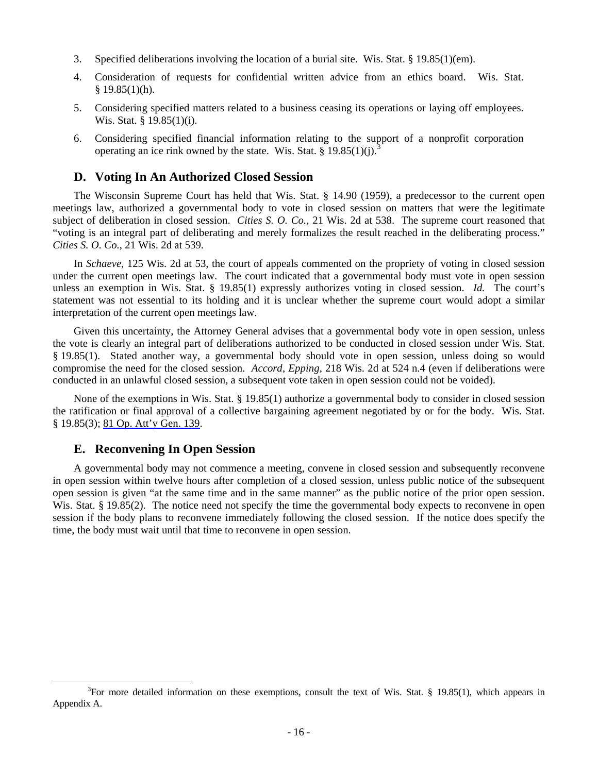- 3. Specified deliberations involving the location of a burial site. Wis. Stat. § 19.85(1)(em).
- 4. Consideration of requests for confidential written advice from an ethics board. Wis. Stat.  $$19.85(1)(h).$
- 5. Considering specified matters related to a business ceasing its operations or laying off employees. Wis. Stat. § 19.85(1)(i).
- 6. Considering specified financial information relating to the support of a nonprofit corporation operating an ice rink owned by the state. Wis. Stat.  $\S$  19.85(1)(j).

# **D. Voting In An Authorized Closed Session**

 The Wisconsin Supreme Court has held that Wis. Stat. § 14.90 (1959), a predecessor to the current open meetings law, authorized a governmental body to vote in closed session on matters that were the legitimate subject of deliberation in closed session. *Cities S. O. Co.*, 21 Wis. 2d at 538. The supreme court reasoned that "voting is an integral part of deliberating and merely formalizes the result reached in the deliberating process." *Cities S. O. Co.*, 21 Wis. 2d at 539.

 In *Schaeve*, 125 Wis. 2d at 53, the court of appeals commented on the propriety of voting in closed session under the current open meetings law. The court indicated that a governmental body must vote in open session unless an exemption in Wis. Stat. § 19.85(1) expressly authorizes voting in closed session. *Id.* The court's statement was not essential to its holding and it is unclear whether the supreme court would adopt a similar interpretation of the current open meetings law.

 Given this uncertainty, the Attorney General advises that a governmental body vote in open session, unless the vote is clearly an integral part of deliberations authorized to be conducted in closed session under Wis. Stat. § 19.85(1). Stated another way, a governmental body should vote in open session, unless doing so would compromise the need for the closed session. *Accord*, *Epping*, 218 Wis. 2d at 524 n.4 (even if deliberations were conducted in an unlawful closed session, a subsequent vote taken in open session could not be voided).

 None of the exemptions in Wis. Stat. § 19.85(1) authorize a governmental body to consider in closed session the ratification or final approval of a collective bargaining agreement negotiated by or for the body. Wis. Stat. § 19.85(3); <u>81 Op. Att'y Gen. 139</u>.

# **E. Reconvening In Open Session**

 $\overline{a}$ 

 A governmental body may not commence a meeting, convene in closed session and subsequently reconvene in open session within twelve hours after completion of a closed session, unless public notice of the subsequent open session is given "at the same time and in the same manner" as the public notice of the prior open session. Wis. Stat. § 19.85(2). The notice need not specify the time the governmental body expects to reconvene in open session if the body plans to reconvene immediately following the closed session. If the notice does specify the time, the body must wait until that time to reconvene in open session.

<span id="page-19-0"></span> $3$ For more detailed information on these exemptions, consult the text of Wis. Stat. § 19.85(1), which appears in Appendix A.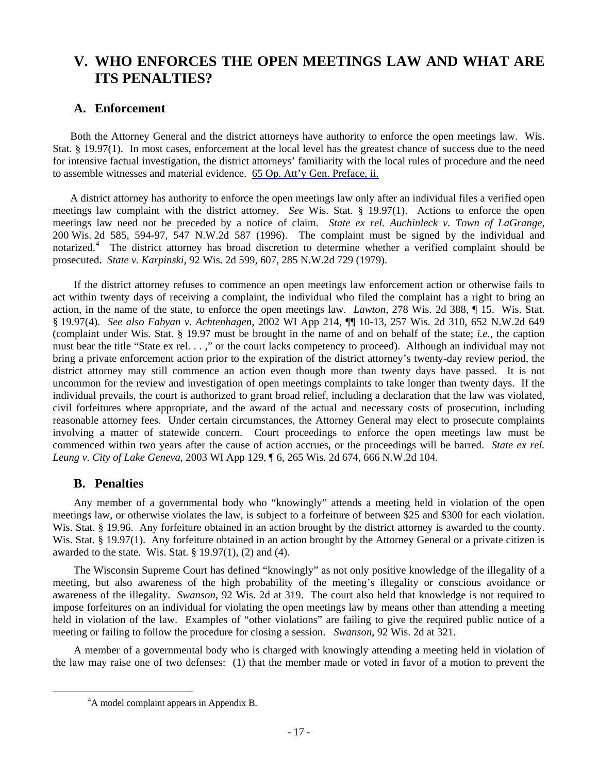# **V. WHO ENFORCES THE OPEN MEETINGS LAW AND WHAT ARE ITS PENALTIES?**

# **A. Enforcement**

 Both the Attorney General and the district attorneys have authority to enforce the open meetings law. Wis. Stat. § 19.97(1). In most cases, enforcement at the local level has the greatest chance of success due to the need for intensive factual investigation, the district attorneys' familiarity with the local rules of procedure and the need to assemble witnesses and material evidence. 65 Op. Att'y Gen. Preface, ii.

 A district attorney has authority to enforce the open meetings law only after an individual files a verified open meetings law complaint with the district attorney. *See* Wis. Stat. § 19.97(1). Actions to enforce the open meetings law need not be preceded by a notice of claim. *State ex rel. Auchinleck v. Town of LaGrange*, 200 Wis. 2d 585, 594-97, 547 N.W.2d 587 (1996). The complaint must be signed by the individual and notarized.<sup>[4](#page-20-0)</sup> The district attorney has broad discretion to determine whether a verified complaint should be prosecuted. *State v. Karpinski*, 92 Wis. 2d 599, 607, 285 N.W.2d 729 (1979).

 If the district attorney refuses to commence an open meetings law enforcement action or otherwise fails to act within twenty days of receiving a complaint, the individual who filed the complaint has a right to bring an action, in the name of the state, to enforce the open meetings law. *Lawton*, 278 Wis. 2d 388, ¶ 15. Wis. Stat. § 19.97(4). *See also Fabyan v. Achtenhagen*, 2002 WI App 214, ¶¶ 10-13, 257 Wis. 2d 310, 652 N.W.2d 649 (complaint under Wis. Stat. § 19.97 must be brought in the name of and on behalf of the state; *i.e.*, the caption must bear the title "State ex rel. . . ," or the court lacks competency to proceed). Although an individual may not bring a private enforcement action prior to the expiration of the district attorney's twenty-day review period, the district attorney may still commence an action even though more than twenty days have passed. It is not uncommon for the review and investigation of open meetings complaints to take longer than twenty days. If the individual prevails, the court is authorized to grant broad relief, including a declaration that the law was violated, civil forfeitures where appropriate, and the award of the actual and necessary costs of prosecution, including reasonable attorney fees. Under certain circumstances, the Attorney General may elect to prosecute complaints involving a matter of statewide concern. Court proceedings to enforce the open meetings law must be commenced within two years after the cause of action accrues, or the proceedings will be barred. *State ex rel. Leung v. City of Lake Geneva*, 2003 WI App 129, ¶ 6, 265 Wis. 2d 674, 666 N.W.2d 104.

# **B. Penalties**

 Any member of a governmental body who "knowingly" attends a meeting held in violation of the open meetings law, or otherwise violates the law, is subject to a forfeiture of between \$25 and \$300 for each violation. Wis. Stat. § 19.96. Any forfeiture obtained in an action brought by the district attorney is awarded to the county. Wis. Stat. § 19.97(1). Any forfeiture obtained in an action brought by the Attorney General or a private citizen is awarded to the state. Wis. Stat.  $\S$  19.97(1), (2) and (4).

 The Wisconsin Supreme Court has defined "knowingly" as not only positive knowledge of the illegality of a meeting, but also awareness of the high probability of the meeting's illegality or conscious avoidance or awareness of the illegality. *Swanson*, 92 Wis. 2d at 319. The court also held that knowledge is not required to impose forfeitures on an individual for violating the open meetings law by means other than attending a meeting held in violation of the law. Examples of "other violations" are failing to give the required public notice of a meeting or failing to follow the procedure for closing a session. *Swanson*, 92 Wis. 2d at 321.

<span id="page-20-0"></span> A member of a governmental body who is charged with knowingly attending a meeting held in violation of the law may raise one of two defenses: (1) that the member made or voted in favor of a motion to prevent the

<sup>&</sup>lt;sup>4</sup>A model complaint appears in Appendix B.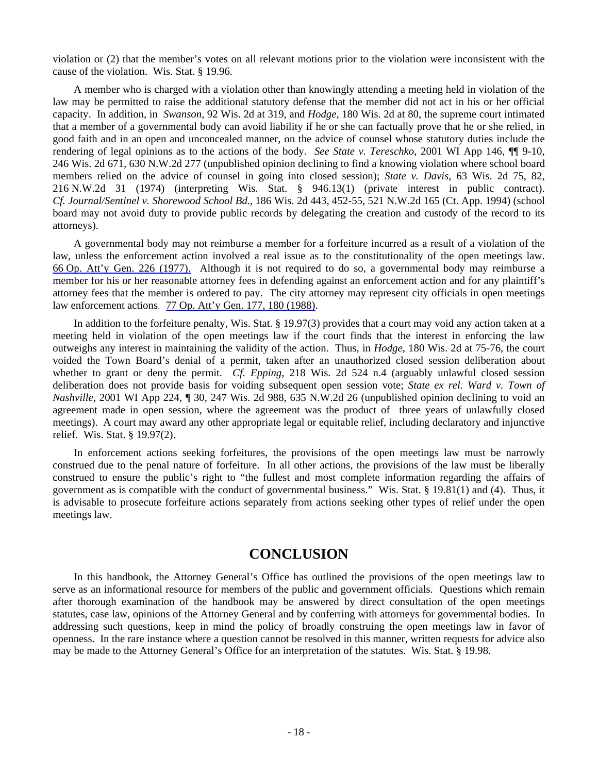violation or (2) that the member's votes on all relevant motions prior to the violation were inconsistent with the cause of the violation. Wis. Stat. § 19.96.

 A member who is charged with a violation other than knowingly attending a meeting held in violation of the law may be permitted to raise the additional statutory defense that the member did not act in his or her official capacity. In addition, in *Swanson,* 92 Wis. 2d at 319, and *Hodge*, 180 Wis. 2d at 80, the supreme court intimated that a member of a governmental body can avoid liability if he or she can factually prove that he or she relied, in good faith and in an open and unconcealed manner, on the advice of counsel whose statutory duties include the rendering of legal opinions as to the actions of the body. *See State v. Tereschko*, 2001 WI App 146, ¶¶ 9-10, 246 Wis. 2d 671, 630 N.W.2d 277 (unpublished opinion declining to find a knowing violation where school board members relied on the advice of counsel in going into closed session); *State v. Davis*, 63 Wis. 2d 75, 82, 216 N.W.2d 31 (1974) (interpreting Wis. Stat. § 946.13(1) (private interest in public contract). *Cf. Journal/Sentinel v. Shorewood School Bd.*, 186 Wis. 2d 443, 452-55, 521 N.W.2d 165 (Ct. App. 1994) (school board may not avoid duty to provide public records by delegating the creation and custody of the record to its attorneys).

 A governmental body may not reimburse a member for a forfeiture incurred as a result of a violation of the law, unless the enforcement action involved a real issue as to the constitutionality of the open meetings law. 66 Op. Att'y Gen. 226 (1977). Although it is not required to do so, a governmental body may reimburse a member for his or her reasonable attorney fees in defending against an enforcement action and for any plaintiff's attorney fees that the member is ordered to pay. The city attorney may represent city officials in open meetings law enforcement actions. 77 Op. Att'y Gen. 177, 180 (1988).

 In addition to the forfeiture penalty, Wis. Stat. § 19.97(3) provides that a court may void any action taken at a meeting held in violation of the open meetings law if the court finds that the interest in enforcing the law outweighs any interest in maintaining the validity of the action. Thus, in *Hodge*, 180 Wis. 2d at 75-76, the court voided the Town Board's denial of a permit, taken after an unauthorized closed session deliberation about whether to grant or deny the permit. *Cf. Epping*, 218 Wis. 2d 524 n.4 (arguably unlawful closed session deliberation does not provide basis for voiding subsequent open session vote; *State ex rel. Ward v. Town of Nashville*, 2001 WI App 224, ¶ 30, 247 Wis. 2d 988, 635 N.W.2d 26 (unpublished opinion declining to void an agreement made in open session, where the agreement was the product of three years of unlawfully closed meetings). A court may award any other appropriate legal or equitable relief, including declaratory and injunctive relief. Wis. Stat. § 19.97(2).

 In enforcement actions seeking forfeitures, the provisions of the open meetings law must be narrowly construed due to the penal nature of forfeiture. In all other actions, the provisions of the law must be liberally construed to ensure the public's right to "the fullest and most complete information regarding the affairs of government as is compatible with the conduct of governmental business." Wis. Stat. § 19.81(1) and (4). Thus, it is advisable to prosecute forfeiture actions separately from actions seeking other types of relief under the open meetings law.

# **CONCLUSION**

 In this handbook, the Attorney General's Office has outlined the provisions of the open meetings law to serve as an informational resource for members of the public and government officials. Questions which remain after thorough examination of the handbook may be answered by direct consultation of the open meetings statutes, case law, opinions of the Attorney General and by conferring with attorneys for governmental bodies. In addressing such questions, keep in mind the policy of broadly construing the open meetings law in favor of openness. In the rare instance where a question cannot be resolved in this manner, written requests for advice also may be made to the Attorney General's Office for an interpretation of the statutes. Wis. Stat. § 19.98.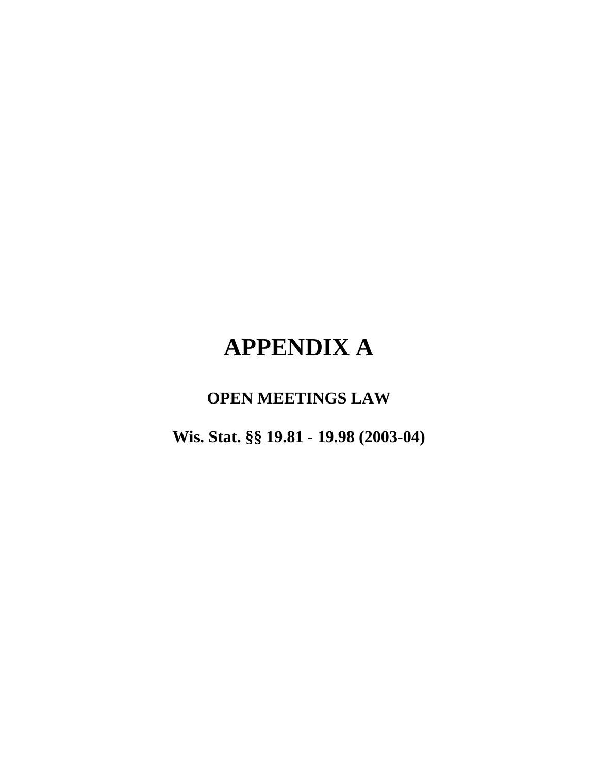# **APPENDIX A**

# **OPEN MEETINGS LAW**

**Wis. Stat. §§ 19.81 - 19.98 (2003-04)**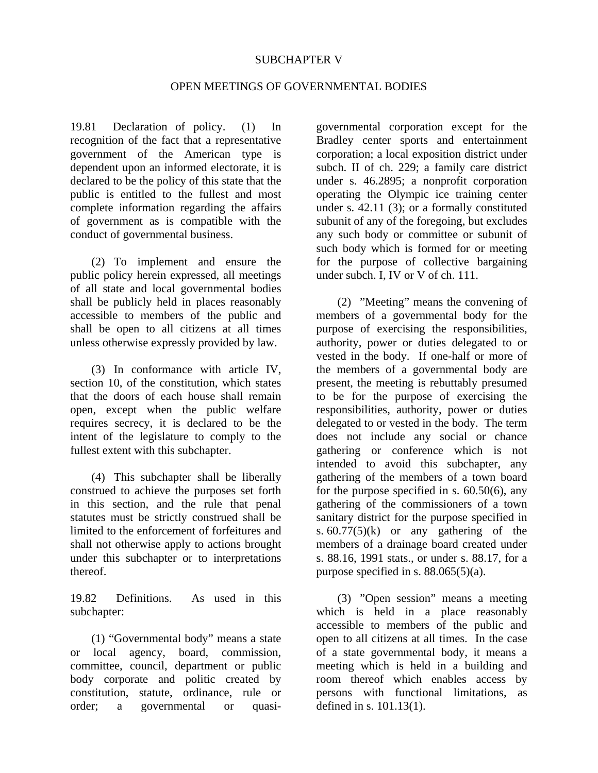# SUBCHAPTER V

# OPEN MEETINGS OF GOVERNMENTAL BODIES

19.81 Declaration of policy. (1) In recognition of the fact that a representative government of the American type is dependent upon an informed electorate, it is declared to be the policy of this state that the public is entitled to the fullest and most complete information regarding the affairs of government as is compatible with the conduct of governmental business.

 (2) To implement and ensure the public policy herein expressed, all meetings of all state and local governmental bodies shall be publicly held in places reasonably accessible to members of the public and shall be open to all citizens at all times unless otherwise expressly provided by law.

 (3) In conformance with article IV, section 10, of the constitution, which states that the doors of each house shall remain open, except when the public welfare requires secrecy, it is declared to be the intent of the legislature to comply to the fullest extent with this subchapter.

 (4) This subchapter shall be liberally construed to achieve the purposes set forth in this section, and the rule that penal statutes must be strictly construed shall be limited to the enforcement of forfeitures and shall not otherwise apply to actions brought under this subchapter or to interpretations thereof.

19.82 Definitions. As used in this subchapter:

 (1) "Governmental body" means a state or local agency, board, commission, committee, council, department or public body corporate and politic created by constitution, statute, ordinance, rule or order; a governmental or quasigovernmental corporation except for the Bradley center sports and entertainment corporation; a local exposition district under subch. II of ch. 229; a family care district under s. 46.2895; a nonprofit corporation operating the Olympic ice training center under s. 42.11 (3); or a formally constituted subunit of any of the foregoing, but excludes any such body or committee or subunit of such body which is formed for or meeting for the purpose of collective bargaining under subch. I, IV or V of ch. 111.

 (2) "Meeting" means the convening of members of a governmental body for the purpose of exercising the responsibilities, authority, power or duties delegated to or vested in the body. If one-half or more of the members of a governmental body are present, the meeting is rebuttably presumed to be for the purpose of exercising the responsibilities, authority, power or duties delegated to or vested in the body. The term does not include any social or chance gathering or conference which is not intended to avoid this subchapter, any gathering of the members of a town board for the purpose specified in s. 60.50(6), any gathering of the commissioners of a town sanitary district for the purpose specified in s.  $60.77(5)(k)$  or any gathering of the members of a drainage board created under s. 88.16, 1991 stats., or under s. 88.17, for a purpose specified in s.  $88.065(5)(a)$ .

 (3) "Open session" means a meeting which is held in a place reasonably accessible to members of the public and open to all citizens at all times. In the case of a state governmental body, it means a meeting which is held in a building and room thereof which enables access by persons with functional limitations, as defined in s. 101.13(1).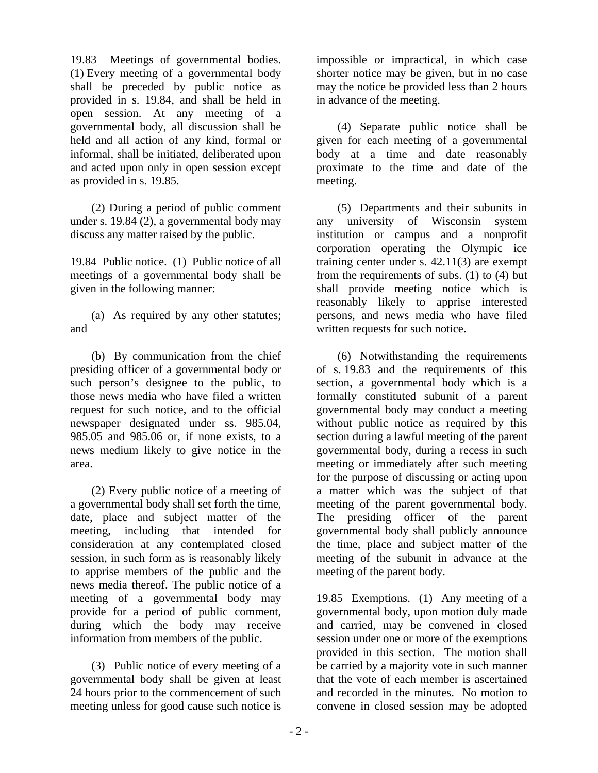19.83 Meetings of governmental bodies. (1) Every meeting of a governmental body shall be preceded by public notice as provided in s. 19.84, and shall be held in open session. At any meeting of a governmental body, all discussion shall be held and all action of any kind, formal or informal, shall be initiated, deliberated upon and acted upon only in open session except as provided in s. 19.85.

 (2) During a period of public comment under s. 19.84 (2), a governmental body may discuss any matter raised by the public.

19.84 Public notice. (1) Public notice of all meetings of a governmental body shall be given in the following manner:

 (a) As required by any other statutes; and

 (b) By communication from the chief presiding officer of a governmental body or such person's designee to the public, to those news media who have filed a written request for such notice, and to the official newspaper designated under ss. 985.04, 985.05 and 985.06 or, if none exists, to a news medium likely to give notice in the area.

 (2) Every public notice of a meeting of a governmental body shall set forth the time, date, place and subject matter of the meeting, including that intended for consideration at any contemplated closed session, in such form as is reasonably likely to apprise members of the public and the news media thereof. The public notice of a meeting of a governmental body may provide for a period of public comment, during which the body may receive information from members of the public.

 (3) Public notice of every meeting of a governmental body shall be given at least 24 hours prior to the commencement of such meeting unless for good cause such notice is

impossible or impractical, in which case shorter notice may be given, but in no case may the notice be provided less than 2 hours in advance of the meeting.

 (4) Separate public notice shall be given for each meeting of a governmental body at a time and date reasonably proximate to the time and date of the meeting.

 (5) Departments and their subunits in any university of Wisconsin system institution or campus and a nonprofit corporation operating the Olympic ice training center under s. 42.11(3) are exempt from the requirements of subs. (1) to (4) but shall provide meeting notice which is reasonably likely to apprise interested persons, and news media who have filed written requests for such notice.

 (6) Notwithstanding the requirements of s. 19.83 and the requirements of this section, a governmental body which is a formally constituted subunit of a parent governmental body may conduct a meeting without public notice as required by this section during a lawful meeting of the parent governmental body, during a recess in such meeting or immediately after such meeting for the purpose of discussing or acting upon a matter which was the subject of that meeting of the parent governmental body. The presiding officer of the parent governmental body shall publicly announce the time, place and subject matter of the meeting of the subunit in advance at the meeting of the parent body.

19.85 Exemptions. (1) Any meeting of a governmental body, upon motion duly made and carried, may be convened in closed session under one or more of the exemptions provided in this section. The motion shall be carried by a majority vote in such manner that the vote of each member is ascertained and recorded in the minutes. No motion to convene in closed session may be adopted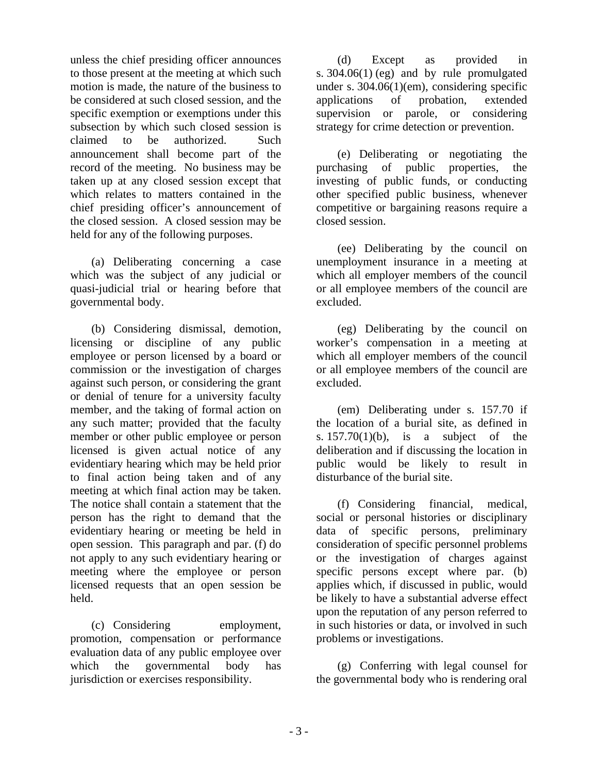unless the chief presiding officer announces to those present at the meeting at which such motion is made, the nature of the business to be considered at such closed session, and the specific exemption or exemptions under this subsection by which such closed session is claimed to be authorized. Such announcement shall become part of the record of the meeting. No business may be taken up at any closed session except that which relates to matters contained in the chief presiding officer's announcement of the closed session. A closed session may be held for any of the following purposes.

 (a) Deliberating concerning a case which was the subject of any judicial or quasi-judicial trial or hearing before that governmental body.

 (b) Considering dismissal, demotion, licensing or discipline of any public employee or person licensed by a board or commission or the investigation of charges against such person, or considering the grant or denial of tenure for a university faculty member, and the taking of formal action on any such matter; provided that the faculty member or other public employee or person licensed is given actual notice of any evidentiary hearing which may be held prior to final action being taken and of any meeting at which final action may be taken. The notice shall contain a statement that the person has the right to demand that the evidentiary hearing or meeting be held in open session. This paragraph and par. (f) do not apply to any such evidentiary hearing or meeting where the employee or person licensed requests that an open session be held.

 (c) Considering employment, promotion, compensation or performance evaluation data of any public employee over which the governmental body has jurisdiction or exercises responsibility.

 (d) Except as provided in s. 304.06(1) (eg) and by rule promulgated under s. 304.06(1)(em), considering specific applications of probation, extended supervision or parole, or considering strategy for crime detection or prevention.

 (e) Deliberating or negotiating the purchasing of public properties, the investing of public funds, or conducting other specified public business, whenever competitive or bargaining reasons require a closed session.

 (ee) Deliberating by the council on unemployment insurance in a meeting at which all employer members of the council or all employee members of the council are excluded.

 (eg) Deliberating by the council on worker's compensation in a meeting at which all employer members of the council or all employee members of the council are excluded.

 (em) Deliberating under s. 157.70 if the location of a burial site, as defined in s.  $157.70(1)(b)$ , is a subject of the deliberation and if discussing the location in public would be likely to result in disturbance of the burial site.

 (f) Considering financial, medical, social or personal histories or disciplinary data of specific persons, preliminary consideration of specific personnel problems or the investigation of charges against specific persons except where par. (b) applies which, if discussed in public, would be likely to have a substantial adverse effect upon the reputation of any person referred to in such histories or data, or involved in such problems or investigations.

 (g) Conferring with legal counsel for the governmental body who is rendering oral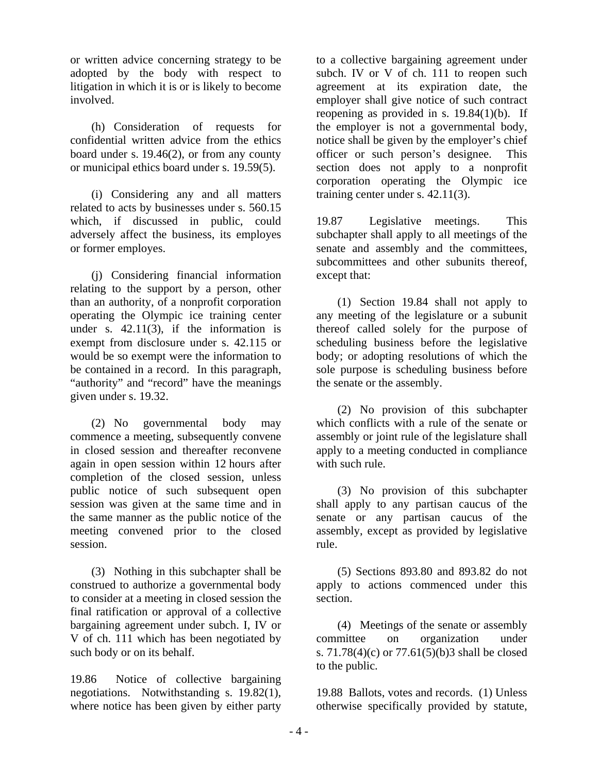or written advice concerning strategy to be adopted by the body with respect to litigation in which it is or is likely to become involved.

 (h) Consideration of requests for confidential written advice from the ethics board under s. 19.46(2), or from any county or municipal ethics board under s. 19.59(5).

 (i) Considering any and all matters related to acts by businesses under s. 560.15 which, if discussed in public, could adversely affect the business, its employes or former employes.

 (j) Considering financial information relating to the support by a person, other than an authority, of a nonprofit corporation operating the Olympic ice training center under s.  $42.11(3)$ , if the information is exempt from disclosure under s. 42.115 or would be so exempt were the information to be contained in a record. In this paragraph, "authority" and "record" have the meanings given under s. 19.32.

 (2) No governmental body may commence a meeting, subsequently convene in closed session and thereafter reconvene again in open session within 12 hours after completion of the closed session, unless public notice of such subsequent open session was given at the same time and in the same manner as the public notice of the meeting convened prior to the closed session.

 (3) Nothing in this subchapter shall be construed to authorize a governmental body to consider at a meeting in closed session the final ratification or approval of a collective bargaining agreement under subch. I, IV or V of ch. 111 which has been negotiated by such body or on its behalf.

19.86 Notice of collective bargaining negotiations. Notwithstanding s. 19.82(1), where notice has been given by either party

to a collective bargaining agreement under subch. IV or V of ch. 111 to reopen such agreement at its expiration date, the employer shall give notice of such contract reopening as provided in s. 19.84(1)(b). If the employer is not a governmental body, notice shall be given by the employer's chief officer or such person's designee. This section does not apply to a nonprofit corporation operating the Olympic ice training center under s. 42.11(3).

19.87 Legislative meetings. This subchapter shall apply to all meetings of the senate and assembly and the committees, subcommittees and other subunits thereof, except that:

 (1) Section 19.84 shall not apply to any meeting of the legislature or a subunit thereof called solely for the purpose of scheduling business before the legislative body; or adopting resolutions of which the sole purpose is scheduling business before the senate or the assembly.

 (2) No provision of this subchapter which conflicts with a rule of the senate or assembly or joint rule of the legislature shall apply to a meeting conducted in compliance with such rule.

 (3) No provision of this subchapter shall apply to any partisan caucus of the senate or any partisan caucus of the assembly, except as provided by legislative rule.

 (5) Sections 893.80 and 893.82 do not apply to actions commenced under this section.

 (4) Meetings of the senate or assembly committee on organization under s. 71.78(4)(c) or 77.61(5)(b)3 shall be closed to the public.

19.88 Ballots, votes and records. (1) Unless otherwise specifically provided by statute,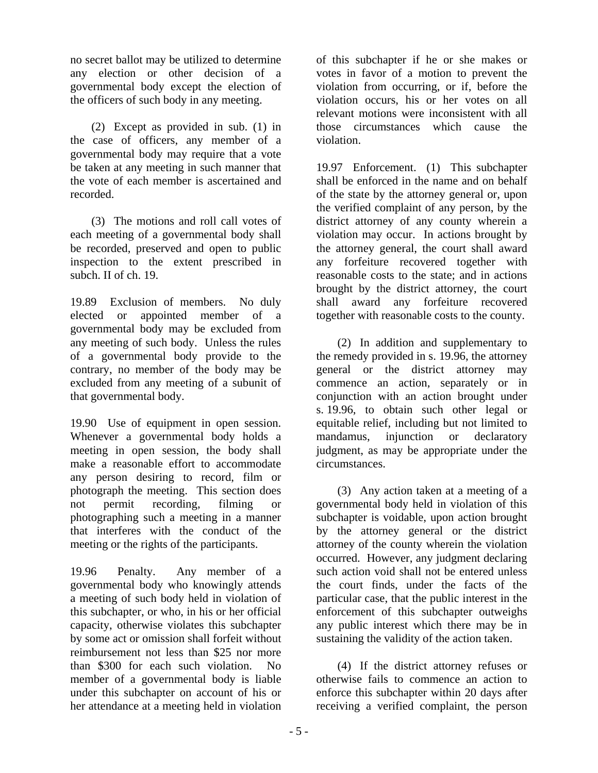no secret ballot may be utilized to determine any election or other decision of a governmental body except the election of the officers of such body in any meeting.

 (2) Except as provided in sub. (1) in the case of officers, any member of a governmental body may require that a vote be taken at any meeting in such manner that the vote of each member is ascertained and recorded.

 (3) The motions and roll call votes of each meeting of a governmental body shall be recorded, preserved and open to public inspection to the extent prescribed in subch. II of ch. 19.

19.89 Exclusion of members. No duly elected or appointed member of a governmental body may be excluded from any meeting of such body. Unless the rules of a governmental body provide to the contrary, no member of the body may be excluded from any meeting of a subunit of that governmental body.

19.90 Use of equipment in open session. Whenever a governmental body holds a meeting in open session, the body shall make a reasonable effort to accommodate any person desiring to record, film or photograph the meeting. This section does not permit recording, filming or photographing such a meeting in a manner that interferes with the conduct of the meeting or the rights of the participants.

19.96 Penalty. Any member of a governmental body who knowingly attends a meeting of such body held in violation of this subchapter, or who, in his or her official capacity, otherwise violates this subchapter by some act or omission shall forfeit without reimbursement not less than \$25 nor more than \$300 for each such violation. No member of a governmental body is liable under this subchapter on account of his or her attendance at a meeting held in violation

of this subchapter if he or she makes or votes in favor of a motion to prevent the violation from occurring, or if, before the violation occurs, his or her votes on all relevant motions were inconsistent with all those circumstances which cause the violation.

19.97 Enforcement. (1) This subchapter shall be enforced in the name and on behalf of the state by the attorney general or, upon the verified complaint of any person, by the district attorney of any county wherein a violation may occur. In actions brought by the attorney general, the court shall award any forfeiture recovered together with reasonable costs to the state; and in actions brought by the district attorney, the court shall award any forfeiture recovered together with reasonable costs to the county.

 (2) In addition and supplementary to the remedy provided in s. 19.96, the attorney general or the district attorney may commence an action, separately or in conjunction with an action brought under s. 19.96, to obtain such other legal or equitable relief, including but not limited to mandamus, injunction or declaratory judgment, as may be appropriate under the circumstances.

 (3) Any action taken at a meeting of a governmental body held in violation of this subchapter is voidable, upon action brought by the attorney general or the district attorney of the county wherein the violation occurred. However, any judgment declaring such action void shall not be entered unless the court finds, under the facts of the particular case, that the public interest in the enforcement of this subchapter outweighs any public interest which there may be in sustaining the validity of the action taken.

 (4) If the district attorney refuses or otherwise fails to commence an action to enforce this subchapter within 20 days after receiving a verified complaint, the person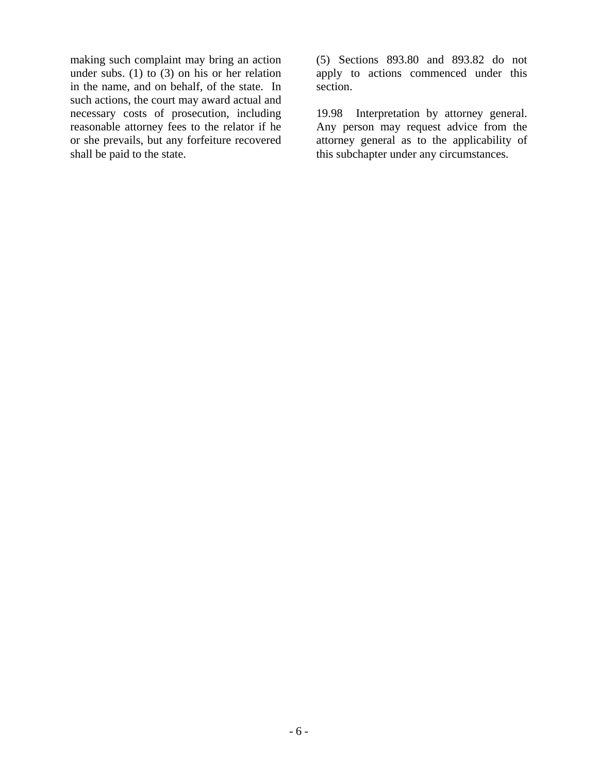making such complaint may bring an action under subs. (1) to (3) on his or her relation in the name, and on behalf, of the state. In such actions, the court may award actual and necessary costs of prosecution, including reasonable attorney fees to the relator if he or she prevails, but any forfeiture recovered shall be paid to the state.

(5) Sections 893.80 and 893.82 do not apply to actions commenced under this section.

19.98 Interpretation by attorney general. Any person may request advice from the attorney general as to the applicability of this subchapter under any circumstances.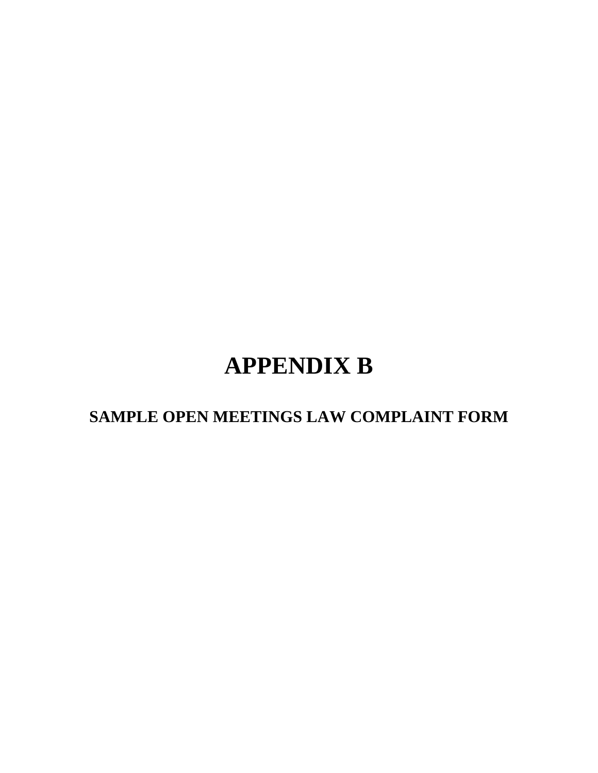# **APPENDIX B**

 **SAMPLE OPEN MEETINGS LAW COMPLAINT FORM**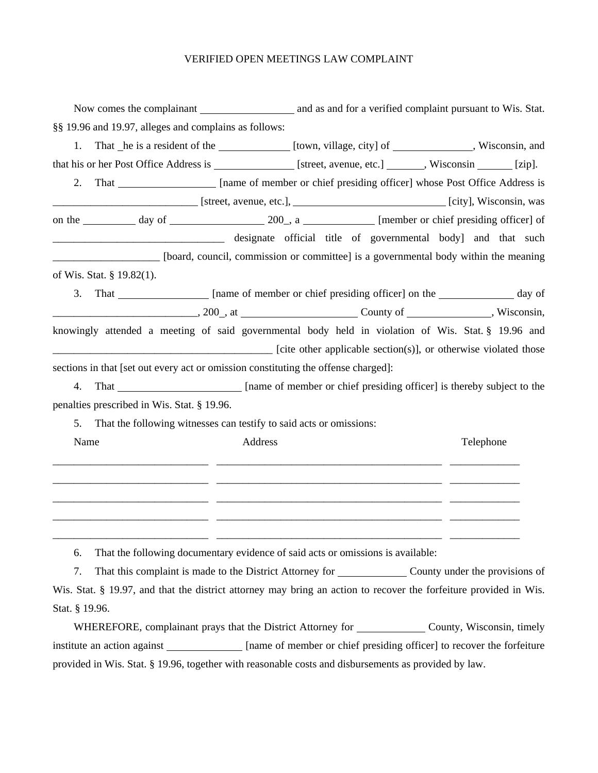#### VERIFIED OPEN MEETINGS LAW COMPLAINT

|      | §§ 19.96 and 19.97, alleges and complains as follows:                                                                     |         |  |  |           |  |
|------|---------------------------------------------------------------------------------------------------------------------------|---------|--|--|-----------|--|
| 1.   | That _he is a resident of the ______________ [town, village, city] of _____________, Wisconsin, and                       |         |  |  |           |  |
|      | that his or her Post Office Address is [street, avenue, etc.] ______, Wisconsin _____ [zip].                              |         |  |  |           |  |
| 2.   | That _________________ [name of member or chief presiding officer] whose Post Office Address is                           |         |  |  |           |  |
|      |                                                                                                                           |         |  |  |           |  |
|      |                                                                                                                           |         |  |  |           |  |
|      | designate official title of governmental body] and that such                                                              |         |  |  |           |  |
|      | [board, council, commission or committee] is a governmental body within the meaning                                       |         |  |  |           |  |
|      | of Wis. Stat. § 19.82(1).                                                                                                 |         |  |  |           |  |
| 3.   |                                                                                                                           |         |  |  |           |  |
|      | $\sim$ 200 $\mu$ at $\sim$ County of $\sim$ , Wisconsin,                                                                  |         |  |  |           |  |
|      | knowingly attended a meeting of said governmental body held in violation of Wis. Stat. § 19.96 and                        |         |  |  |           |  |
|      | [cite other applicable section(s)], or otherwise violated those                                                           |         |  |  |           |  |
|      | sections in that [set out every act or omission constituting the offense charged]:                                        |         |  |  |           |  |
| 4.   | That _________________________ [name of member or chief presiding officer] is thereby subject to the                      |         |  |  |           |  |
|      | penalties prescribed in Wis. Stat. § 19.96.                                                                               |         |  |  |           |  |
| 5.   | That the following witnesses can testify to said acts or omissions:                                                       |         |  |  |           |  |
| Name |                                                                                                                           | Address |  |  | Telephone |  |
|      |                                                                                                                           |         |  |  |           |  |
|      |                                                                                                                           |         |  |  |           |  |
|      |                                                                                                                           |         |  |  |           |  |
|      |                                                                                                                           |         |  |  |           |  |
|      |                                                                                                                           |         |  |  |           |  |
| 6.   | That the following documentary evidence of said acts or omissions is available:                                           |         |  |  |           |  |
| 7.   | That this complaint is made to the District Attorney for County under the provisions of                                   |         |  |  |           |  |
|      | W <sub>is</sub> ftat 8,10.07 and that the district attempt may being an action to reagance the farfaiture provided in Wis |         |  |  |           |  |

Wis. Stat. § 19.97, and that the district attorney may bring an action to recover the forfeiture provided in Wis. Stat. § 19.96.

WHEREFORE, complainant prays that the District Attorney for \_\_\_\_\_\_\_\_\_\_\_\_\_\_\_ County, Wisconsin, timely institute an action against \_\_\_\_\_\_\_\_\_\_\_\_ [name of member or chief presiding officer] to recover the forfeiture provided in Wis. Stat. § 19.96, together with reasonable costs and disbursements as provided by law.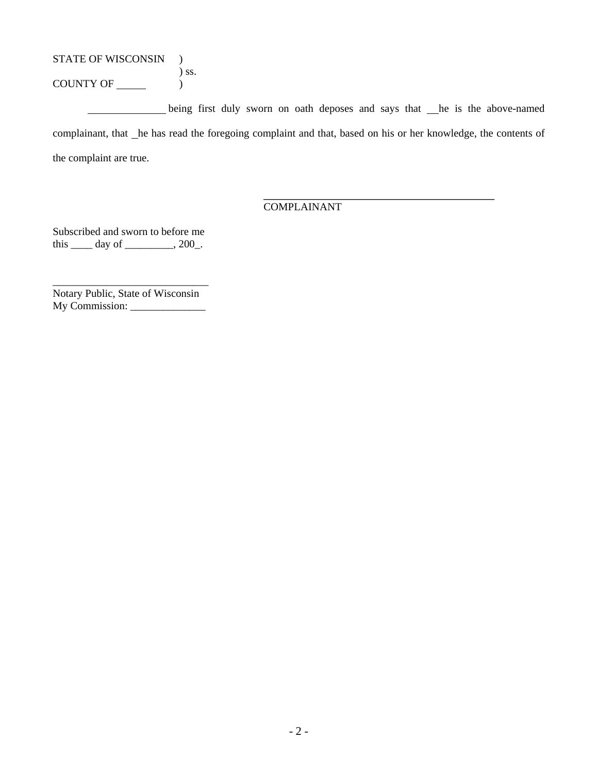STATE OF WISCONSIN )

 $\sum$  ss.  $COUNTY OF \_\_$ 

being first duly sworn on oath deposes and says that he is the above-named complainant, that \_he has read the foregoing complaint and that, based on his or her knowledge, the contents of the complaint are true.

# COMPLAINANT

 $\overline{\phantom{a}}$  ,  $\overline{\phantom{a}}$  ,  $\overline{\phantom{a}}$  ,  $\overline{\phantom{a}}$  ,  $\overline{\phantom{a}}$  ,  $\overline{\phantom{a}}$  ,  $\overline{\phantom{a}}$  ,  $\overline{\phantom{a}}$  ,  $\overline{\phantom{a}}$  ,  $\overline{\phantom{a}}$  ,  $\overline{\phantom{a}}$  ,  $\overline{\phantom{a}}$  ,  $\overline{\phantom{a}}$  ,  $\overline{\phantom{a}}$  ,  $\overline{\phantom{a}}$  ,  $\overline{\phantom{a}}$ 

Subscribed and sworn to before me this  $\rule{1em}{0.15mm}$  day of  $\rule{1em}{0.15mm}$   $\qquad$   $\qquad$   $\qquad$   $\qquad$   $\qquad$   $\qquad$   $\qquad$   $\qquad$   $\qquad$   $\qquad$   $\qquad$   $\qquad$   $\qquad$   $\qquad$   $\qquad$   $\qquad$   $\qquad$   $\qquad$   $\qquad$   $\qquad$   $\qquad$   $\qquad$   $\qquad$   $\qquad$   $\qquad$   $\qquad$   $\qquad$   $\qquad$   $\qquad$   $\qquad$ 

Notary Public, State of Wisconsin My Commission: \_\_\_\_\_\_\_\_\_\_\_\_\_\_

\_\_\_\_\_\_\_\_\_\_\_\_\_\_\_\_\_\_\_\_\_\_\_\_\_\_\_\_\_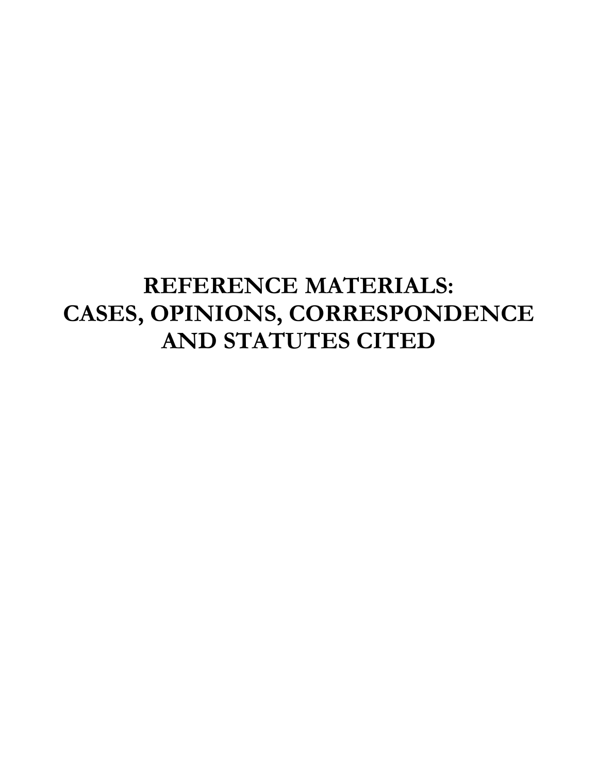# **REFERENCE MATERIALS: CASES, OPINIONS, CORRESPONDENCE AND STATUTES CITED**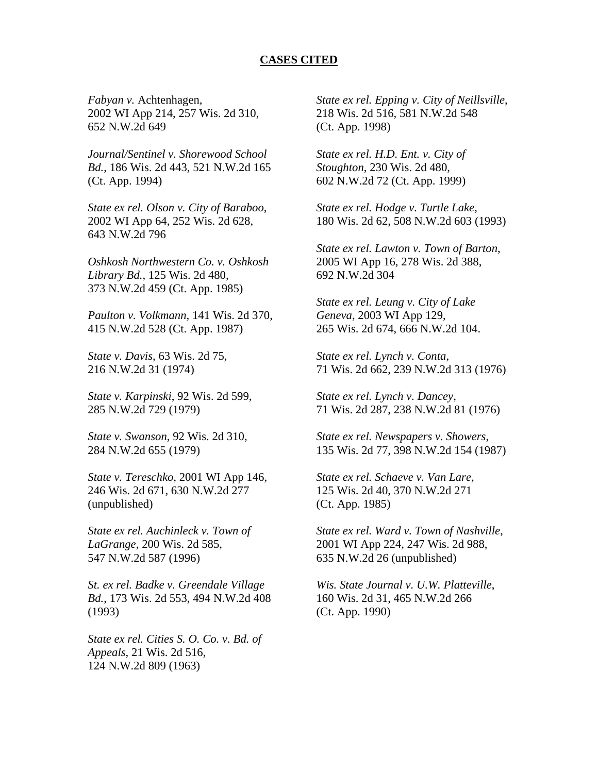## **CASES CITED**

2002 WI App 214, 257 Wis. 2d 310, 652 N.W.2d 649

*Journal/Sentinel v. Shorewood School Bd.*, 186 Wis. 2d 443, 521 N.W.2d 165 (Ct. App. 1994)

*State ex rel. Olson v. City of Baraboo*, 2002 WI App 64, 252 Wis. 2d 628, 643 N.W.2d 796

*Oshkosh Northwestern Co. v. Oshkosh Library Bd.*, 125 Wis. 2d 480, 373 N.W.2d 459 (Ct. App. 1985)

*Paulton v. Volkmann*, 141 Wis. 2d 370, 415 N.W.2d 528 (Ct. App. 1987)

*State v. Davis*, 63 Wis. 2d 75, 216 N.W.2d 31 (1974)

*State v. Karpinski*, 92 Wis. 2d 599, 285 N.W.2d 729 (1979)

*State v. Swanson*, 92 Wis. 2d 310, 284 N.W.2d 655 (1979)

*State v. Tereschko*, 2001 WI App 146, 246 Wis. 2d 671, 630 N.W.2d 277 (unpublished)

*State ex rel. Auchinleck v. Town of LaGrange*, 200 Wis. 2d 585, 547 N.W.2d 587 (1996)

*St. ex rel. Badke v. Greendale Village Bd.*, 173 Wis. 2d 553, 494 N.W.2d 408 (1993)

*State ex rel. Cities S. O. Co. v. Bd. of Appeals*, 21 Wis. 2d 516, 124 N.W.2d 809 (1963)

*Fabyan v.* Achtenhagen, *State ex rel. Epping v. City of Neillsville*, 218 Wis. 2d 516, 581 N.W.2d 548 (Ct. App. 1998)

> *State ex rel. H.D. Ent. v. City of Stoughton*, 230 Wis. 2d 480, 602 N.W.2d 72 (Ct. App. 1999)

*State ex rel. Hodge v. Turtle Lake*, 180 Wis. 2d 62, 508 N.W.2d 603 (1993)

*State ex rel. Lawton v. Town of Barton*, 2005 WI App 16, 278 Wis. 2d 388, 692 N.W.2d 304

*State ex rel. Leung v. City of Lake Geneva*, 2003 WI App 129, 265 Wis. 2d 674, 666 N.W.2d 104.

*State ex rel. Lynch v. Conta*, 71 Wis. 2d 662, 239 N.W.2d 313 (1976)

*State ex rel. Lynch v. Dancey*, 71 Wis. 2d 287, 238 N.W.2d 81 (1976)

*State ex rel. Newspapers v. Showers*, 135 Wis. 2d 77, 398 N.W.2d 154 (1987)

*State ex rel. Schaeve v. Van Lare*, 125 Wis. 2d 40, 370 N.W.2d 271 (Ct. App. 1985)

*State ex rel. Ward v. Town of Nashville*, 2001 WI App 224, 247 Wis. 2d 988, 635 N.W.2d 26 (unpublished)

*Wis. State Journal v. U.W. Platteville*, 160 Wis. 2d 31, 465 N.W.2d 266 (Ct. App. 1990)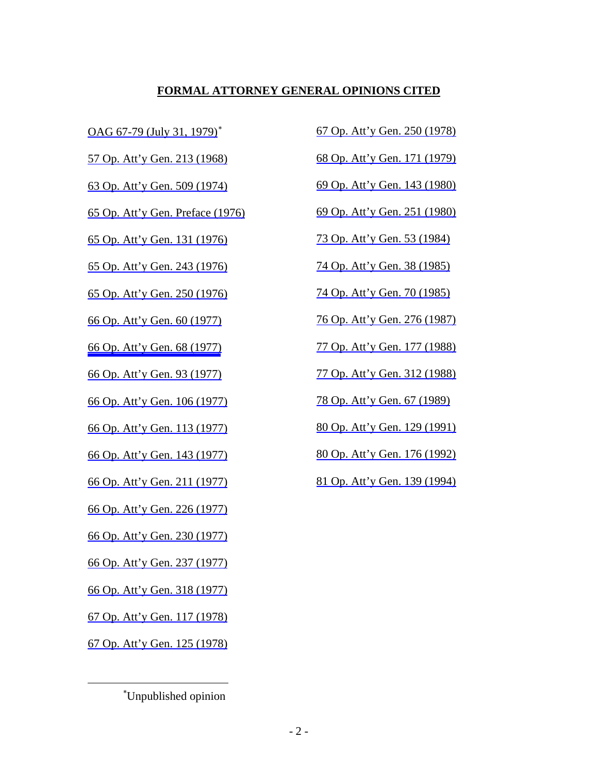# **FORMAL ATTORNEY GENERAL OPINIONS CITED**

57 Op. Att'y Gen. 213 (1968) 68 Op. Att'y Gen. 171 (1979)

63 Op. Att'y Gen. 509 (1974) 69 Op. Att'y Gen. 143 (1980)

65 Op. Att'y Gen. Preface (1976) 69 Op. Att'y Gen. 251 (1980)

65 Op. Att'y Gen. 131 (1976) 73 Op. Att'y Gen. 53 (1984)

65 Op. Att'y Gen. 243 (1976) 74 Op. Att'y Gen. 38 (1985)

65 Op. Att'y Gen. 250 (1976) 74 Op. Att'y Gen. 70 (1985)

66 Op. Att'y Gen. 106 (1977) 78 Op. Att'y Gen. 67 (1989)

66 Op. Att'y Gen. 113 (1977) 80 Op. Att'y Gen. 129 (1991)

66 Op. Att'y Gen. 226 (1977)

66 Op. Att'y Gen. 230 (1977)

66 Op. Att'y Gen. 237 (1977)

66 Op. Att'y Gen. 318 (1977)

67 Op. Att'y Gen. 117 (1978)

67 Op. Att'y Gen. 125 (1978)

 $\overline{a}$ 

OAG 67-79 (July 31, 1979)<sup>\*</sup> 67 Op. Att'y Gen. 250 (1978)

66 Op. Att'y Gen. 60 (1977) 76 Op. Att'y Gen. 276 (1987)

66 Op. Att'y Gen. 68 (1977) 77 Op. Att'y Gen. 177 (1988)

66 Op. Att'y Gen. 93 (1977) 77 Op. Att'y Gen. 312 (1988)

66 Op. Att'y Gen. 143 (1977) 80 Op. Att'y Gen. 176 (1992)

66 Op. Att'y Gen. 211 (1977) 81 Op. Att'y Gen. 139 (1994)

<sup>∗</sup> Unpublished opinion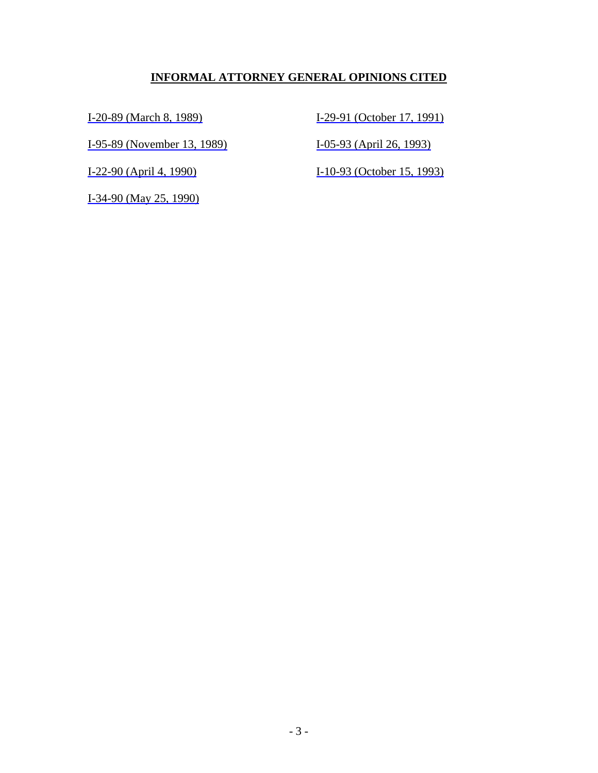# **INFORMAL ATTORNEY GENERAL OPINIONS CITED**

I-95-89 (November 13, 1989) I-05-93 (April 26, 1993)

I-34-90 (May 25, 1990)

I-20-89 (March 8, 1989) I-29-91 (October 17, 1991)

I-22-90 (April 4, 1990) I-10-93 (October 15, 1993)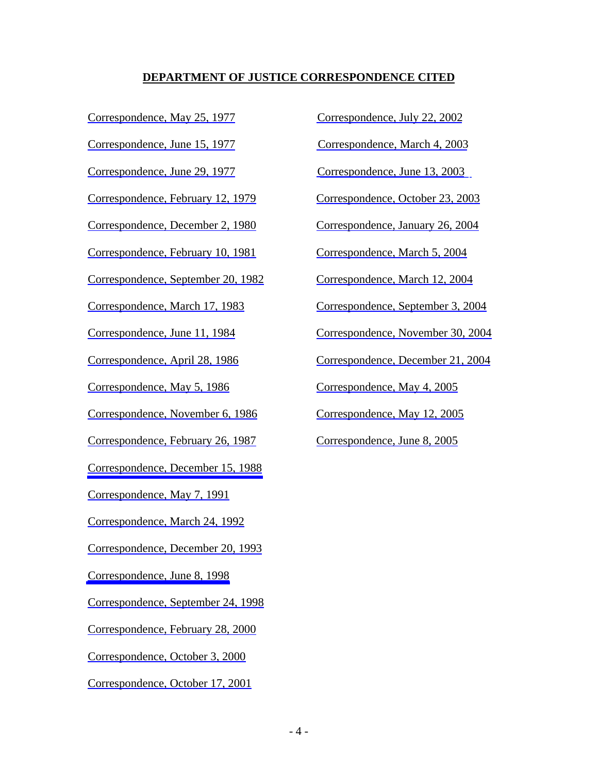# **DEPARTMENT OF JUSTICE CORRESPONDENCE CITED**

Correspondence, June 29, 1977 Correspondence, June 13, 2003

Correspondence, February 12, 1979 Correspondence, October 23, 2003

Correspondence, December 2, 1980 Correspondence, January 26, 2004

Correspondence, February 10, 1981 Correspondence, March 5, 2004

Correspondence, September 20, 1982 Correspondence, March 12, 2004

Correspondence, November 6, 1986 Correspondence, May 12, 2005

Correspondence, February 26, 1987 Correspondence, June 8, 2005

Correspondence, December 15, 1988

Correspondence, May 7, 1991

Correspondence, March 24, 1992

Correspondence, December 20, 1993

Correspondence, June 8, 1998

Correspondence, September 24, 1998

Correspondence, February 28, 2000

Correspondence, October 3, 2000

Correspondence, October 17, 2001

Correspondence, May 25, 1977 Correspondence, July 22, 2002

Correspondence, June 15, 1977 Correspondence, March 4, 2003

Correspondence, March 17, 1983 Correspondence, September 3, 2004

Correspondence, June 11, 1984 Correspondence, November 30, 2004

Correspondence, April 28, 1986 Correspondence, December 21, 2004

Correspondence, May 5, 1986 Correspondence, May 4, 2005